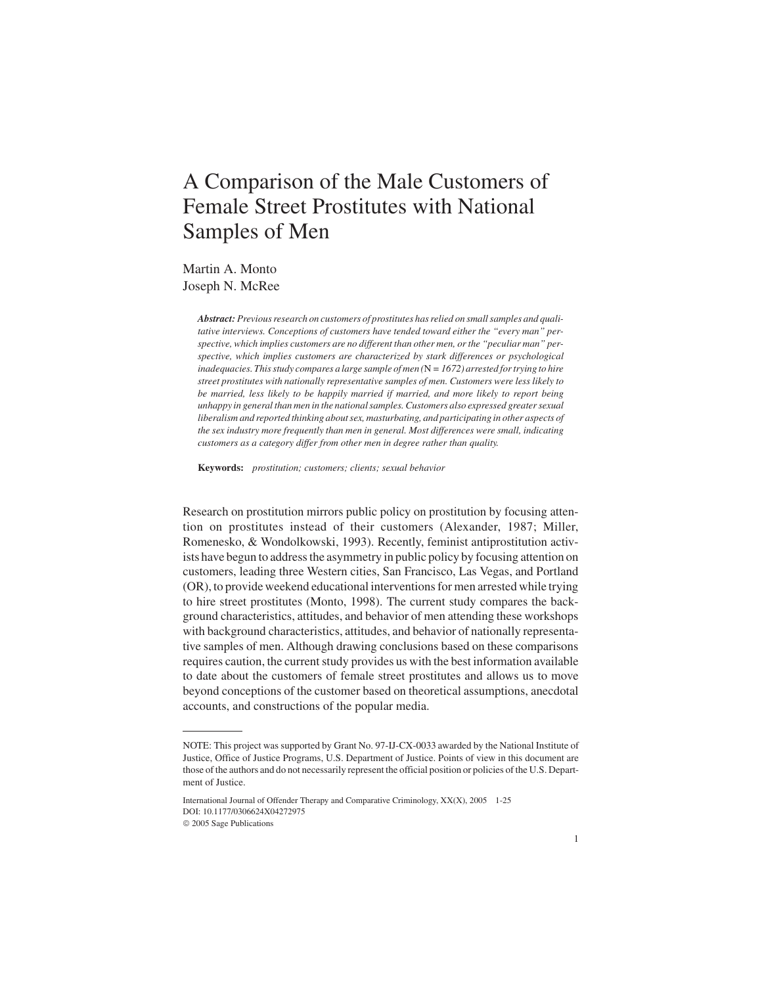# A Comparison of the Male Customers of Female Street Prostitutes with National Samples of Men

Martin A. Monto Joseph N. McRee

> *Abstract: Previous research on customers of prostitutes has relied on small samples and qualitative interviews. Conceptions of customers have tended toward either the "every man" perspective, which implies customers are no different than other men, or the "peculiar man" perspective, which implies customers are characterized by stark differences or psychological inadequacies. This study compares a large sample of men (*N *= 1672) arrested for trying to hire street prostitutes with nationally representative samples of men. Customers were less likely to be married, less likely to be happily married if married, and more likely to report being unhappy in general than men in the national samples. Customers also expressed greater sexual liberalism and reported thinking about sex, masturbating, and participating in other aspects of the sex industry more frequently than men in general. Most differences were small, indicating customers as a category differ from other men in degree rather than quality.*

**Keywords:** *prostitution; customers; clients; sexual behavior*

Research on prostitution mirrors public policy on prostitution by focusing attention on prostitutes instead of their customers (Alexander, 1987; Miller, Romenesko, & Wondolkowski, 1993). Recently, feminist antiprostitution activists have begun to address the asymmetry in public policy by focusing attention on customers, leading three Western cities, San Francisco, Las Vegas, and Portland (OR), to provide weekend educational interventions for men arrested while trying to hire street prostitutes (Monto, 1998). The current study compares the background characteristics, attitudes, and behavior of men attending these workshops with background characteristics, attitudes, and behavior of nationally representative samples of men. Although drawing conclusions based on these comparisons requires caution, the current study provides us with the best information available to date about the customers of female street prostitutes and allows us to move beyond conceptions of the customer based on theoretical assumptions, anecdotal accounts, and constructions of the popular media.

NOTE: This project was supported by Grant No. 97-IJ-CX-0033 awarded by the National Institute of Justice, Office of Justice Programs, U.S. Department of Justice. Points of view in this document are those of the authors and do not necessarily represent the official position or policies of the U.S. Department of Justice.

International Journal of Offender Therapy and Comparative Criminology, XX(X), 2005 1-25 DOI: 10.1177/0306624X04272975

2005 Sage Publications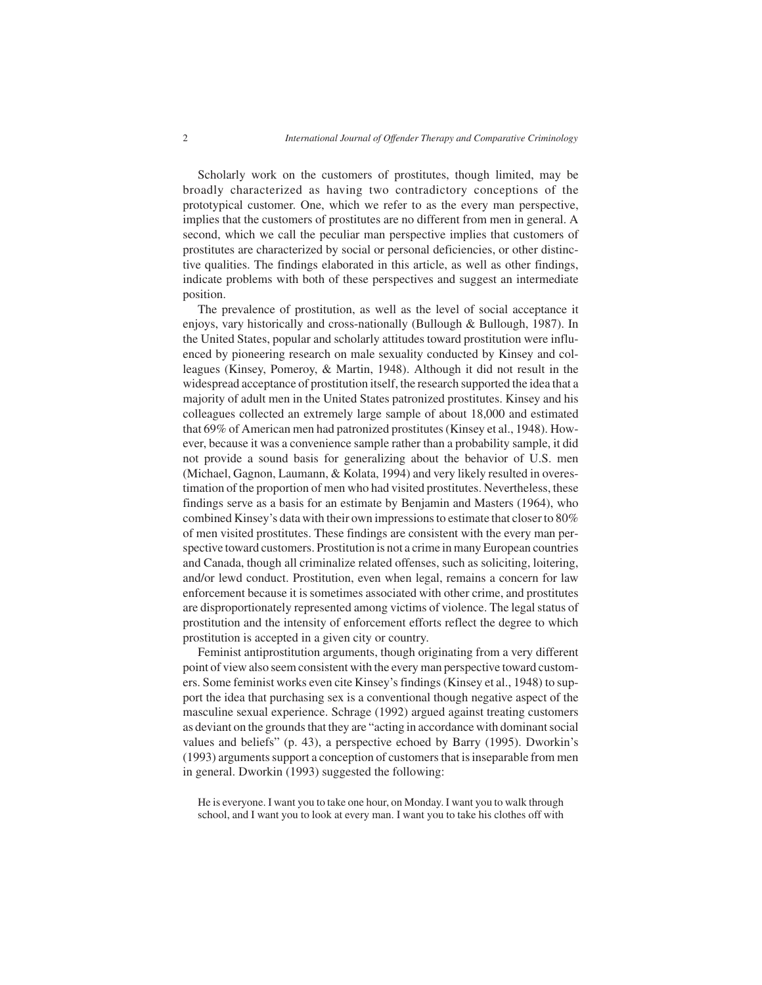Scholarly work on the customers of prostitutes, though limited, may be broadly characterized as having two contradictory conceptions of the prototypical customer. One, which we refer to as the every man perspective, implies that the customers of prostitutes are no different from men in general. A second, which we call the peculiar man perspective implies that customers of prostitutes are characterized by social or personal deficiencies, or other distinctive qualities. The findings elaborated in this article, as well as other findings, indicate problems with both of these perspectives and suggest an intermediate position.

The prevalence of prostitution, as well as the level of social acceptance it enjoys, vary historically and cross-nationally (Bullough & Bullough, 1987). In the United States, popular and scholarly attitudes toward prostitution were influenced by pioneering research on male sexuality conducted by Kinsey and colleagues (Kinsey, Pomeroy, & Martin, 1948). Although it did not result in the widespread acceptance of prostitution itself, the research supported the idea that a majority of adult men in the United States patronized prostitutes. Kinsey and his colleagues collected an extremely large sample of about 18,000 and estimated that 69% of American men had patronized prostitutes (Kinsey et al., 1948). However, because it was a convenience sample rather than a probability sample, it did not provide a sound basis for generalizing about the behavior of U.S. men (Michael, Gagnon, Laumann, & Kolata, 1994) and very likely resulted in overestimation of the proportion of men who had visited prostitutes. Nevertheless, these findings serve as a basis for an estimate by Benjamin and Masters (1964), who combined Kinsey's data with their own impressions to estimate that closer to 80% of men visited prostitutes. These findings are consistent with the every man perspective toward customers. Prostitution is not a crime in many European countries and Canada, though all criminalize related offenses, such as soliciting, loitering, and/or lewd conduct. Prostitution, even when legal, remains a concern for law enforcement because it is sometimes associated with other crime, and prostitutes are disproportionately represented among victims of violence. The legal status of prostitution and the intensity of enforcement efforts reflect the degree to which prostitution is accepted in a given city or country.

Feminist antiprostitution arguments, though originating from a very different point of view also seem consistent with the every man perspective toward customers. Some feminist works even cite Kinsey's findings (Kinsey et al., 1948) to support the idea that purchasing sex is a conventional though negative aspect of the masculine sexual experience. Schrage (1992) argued against treating customers as deviant on the grounds that they are "acting in accordance with dominant social values and beliefs" (p. 43), a perspective echoed by Barry (1995). Dworkin's (1993) arguments support a conception of customers that is inseparable from men in general. Dworkin (1993) suggested the following:

He is everyone. I want you to take one hour, on Monday. I want you to walk through school, and I want you to look at every man. I want you to take his clothes off with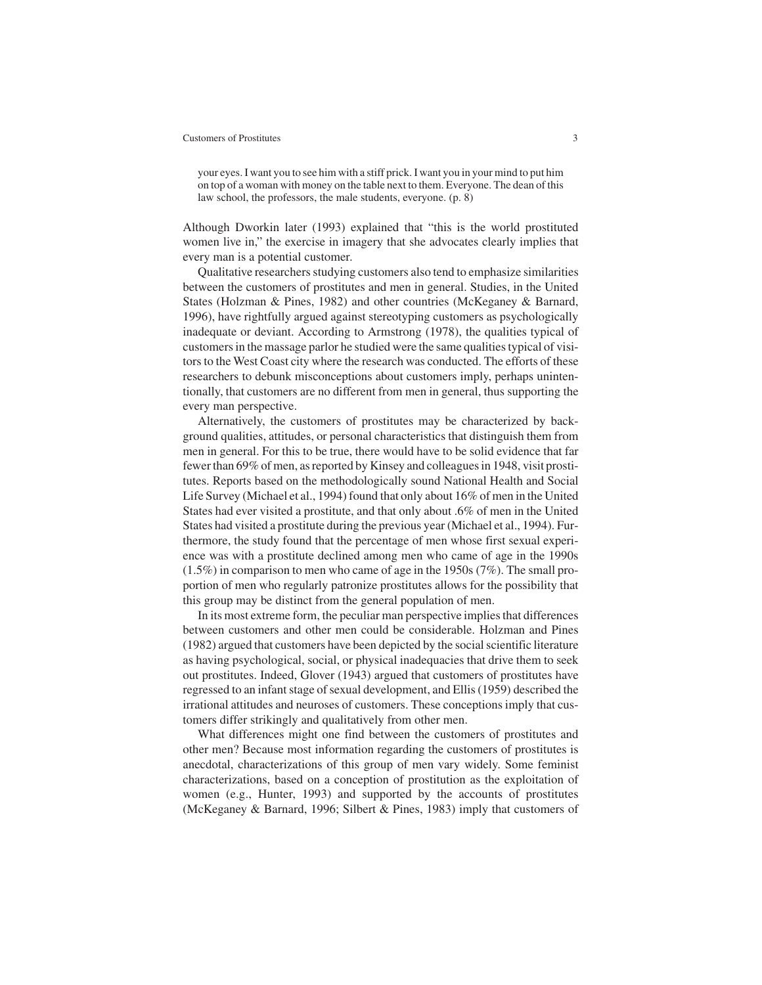your eyes. I want you to see him with a stiff prick. I want you in your mind to put him on top of a woman with money on the table next to them. Everyone. The dean of this law school, the professors, the male students, everyone. (p. 8)

Although Dworkin later (1993) explained that "this is the world prostituted women live in," the exercise in imagery that she advocates clearly implies that every man is a potential customer.

Qualitative researchers studying customers also tend to emphasize similarities between the customers of prostitutes and men in general. Studies, in the United States (Holzman & Pines, 1982) and other countries (McKeganey & Barnard, 1996), have rightfully argued against stereotyping customers as psychologically inadequate or deviant. According to Armstrong (1978), the qualities typical of customers in the massage parlor he studied were the same qualities typical of visitors to the West Coast city where the research was conducted. The efforts of these researchers to debunk misconceptions about customers imply, perhaps unintentionally, that customers are no different from men in general, thus supporting the every man perspective.

Alternatively, the customers of prostitutes may be characterized by background qualities, attitudes, or personal characteristics that distinguish them from men in general. For this to be true, there would have to be solid evidence that far fewer than 69% of men, as reported by Kinsey and colleagues in 1948, visit prostitutes. Reports based on the methodologically sound National Health and Social Life Survey (Michael et al., 1994) found that only about 16% of men in the United States had ever visited a prostitute, and that only about .6% of men in the United States had visited a prostitute during the previous year (Michael et al., 1994). Furthermore, the study found that the percentage of men whose first sexual experience was with a prostitute declined among men who came of age in the 1990s (1.5%) in comparison to men who came of age in the 1950s (7%). The small proportion of men who regularly patronize prostitutes allows for the possibility that this group may be distinct from the general population of men.

In its most extreme form, the peculiar man perspective implies that differences between customers and other men could be considerable. Holzman and Pines (1982) argued that customers have been depicted by the social scientific literature as having psychological, social, or physical inadequacies that drive them to seek out prostitutes. Indeed, Glover (1943) argued that customers of prostitutes have regressed to an infant stage of sexual development, and Ellis (1959) described the irrational attitudes and neuroses of customers. These conceptions imply that customers differ strikingly and qualitatively from other men.

What differences might one find between the customers of prostitutes and other men? Because most information regarding the customers of prostitutes is anecdotal, characterizations of this group of men vary widely. Some feminist characterizations, based on a conception of prostitution as the exploitation of women (e.g., Hunter, 1993) and supported by the accounts of prostitutes (McKeganey & Barnard, 1996; Silbert & Pines, 1983) imply that customers of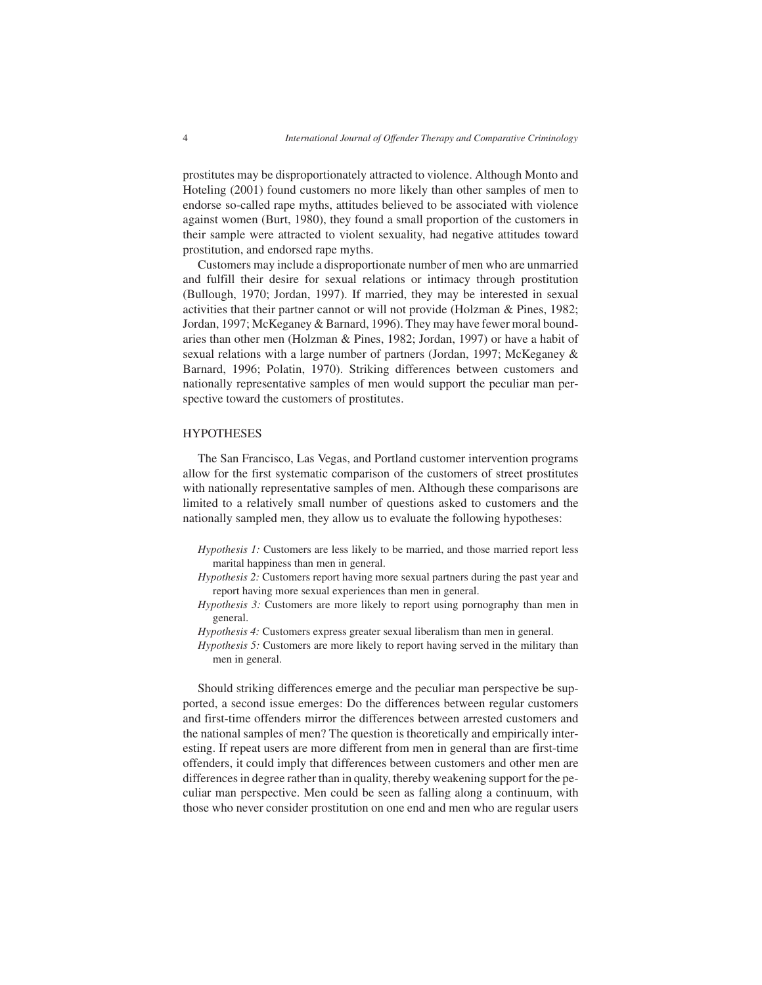prostitutes may be disproportionately attracted to violence. Although Monto and Hoteling (2001) found customers no more likely than other samples of men to endorse so-called rape myths, attitudes believed to be associated with violence against women (Burt, 1980), they found a small proportion of the customers in their sample were attracted to violent sexuality, had negative attitudes toward prostitution, and endorsed rape myths.

Customers may include a disproportionate number of men who are unmarried and fulfill their desire for sexual relations or intimacy through prostitution (Bullough, 1970; Jordan, 1997). If married, they may be interested in sexual activities that their partner cannot or will not provide (Holzman & Pines, 1982; Jordan, 1997; McKeganey & Barnard, 1996). They may have fewer moral boundaries than other men (Holzman & Pines, 1982; Jordan, 1997) or have a habit of sexual relations with a large number of partners (Jordan, 1997; McKeganey & Barnard, 1996; Polatin, 1970). Striking differences between customers and nationally representative samples of men would support the peculiar man perspective toward the customers of prostitutes.

### **HYPOTHESES**

The San Francisco, Las Vegas, and Portland customer intervention programs allow for the first systematic comparison of the customers of street prostitutes with nationally representative samples of men. Although these comparisons are limited to a relatively small number of questions asked to customers and the nationally sampled men, they allow us to evaluate the following hypotheses:

- *Hypothesis 1:* Customers are less likely to be married, and those married report less marital happiness than men in general.
- *Hypothesis 2:* Customers report having more sexual partners during the past year and report having more sexual experiences than men in general.
- *Hypothesis 3:* Customers are more likely to report using pornography than men in general.
- *Hypothesis 4:* Customers express greater sexual liberalism than men in general.
- *Hypothesis 5:* Customers are more likely to report having served in the military than men in general.

Should striking differences emerge and the peculiar man perspective be supported, a second issue emerges: Do the differences between regular customers and first-time offenders mirror the differences between arrested customers and the national samples of men? The question is theoretically and empirically interesting. If repeat users are more different from men in general than are first-time offenders, it could imply that differences between customers and other men are differences in degree rather than in quality, thereby weakening support for the peculiar man perspective. Men could be seen as falling along a continuum, with those who never consider prostitution on one end and men who are regular users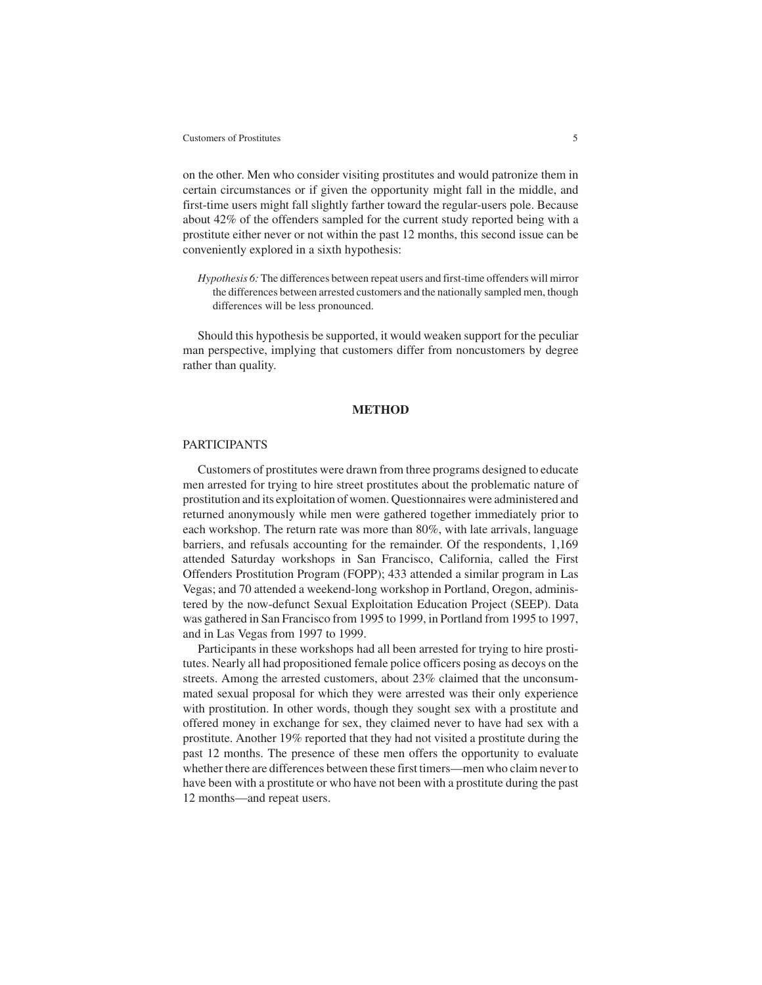on the other. Men who consider visiting prostitutes and would patronize them in certain circumstances or if given the opportunity might fall in the middle, and first-time users might fall slightly farther toward the regular-users pole. Because about 42% of the offenders sampled for the current study reported being with a prostitute either never or not within the past 12 months, this second issue can be conveniently explored in a sixth hypothesis:

*Hypothesis 6:* The differences between repeat users and first-time offenders will mirror the differences between arrested customers and the nationally sampled men, though differences will be less pronounced.

Should this hypothesis be supported, it would weaken support for the peculiar man perspective, implying that customers differ from noncustomers by degree rather than quality.

# **METHOD**

# PARTICIPANTS

Customers of prostitutes were drawn from three programs designed to educate men arrested for trying to hire street prostitutes about the problematic nature of prostitution and its exploitation of women. Questionnaires were administered and returned anonymously while men were gathered together immediately prior to each workshop. The return rate was more than 80%, with late arrivals, language barriers, and refusals accounting for the remainder. Of the respondents, 1,169 attended Saturday workshops in San Francisco, California, called the First Offenders Prostitution Program (FOPP); 433 attended a similar program in Las Vegas; and 70 attended a weekend-long workshop in Portland, Oregon, administered by the now-defunct Sexual Exploitation Education Project (SEEP). Data was gathered in San Francisco from 1995 to 1999, in Portland from 1995 to 1997, and in Las Vegas from 1997 to 1999.

Participants in these workshops had all been arrested for trying to hire prostitutes. Nearly all had propositioned female police officers posing as decoys on the streets. Among the arrested customers, about 23% claimed that the unconsummated sexual proposal for which they were arrested was their only experience with prostitution. In other words, though they sought sex with a prostitute and offered money in exchange for sex, they claimed never to have had sex with a prostitute. Another 19% reported that they had not visited a prostitute during the past 12 months. The presence of these men offers the opportunity to evaluate whether there are differences between these first timers—men who claim never to have been with a prostitute or who have not been with a prostitute during the past 12 months—and repeat users.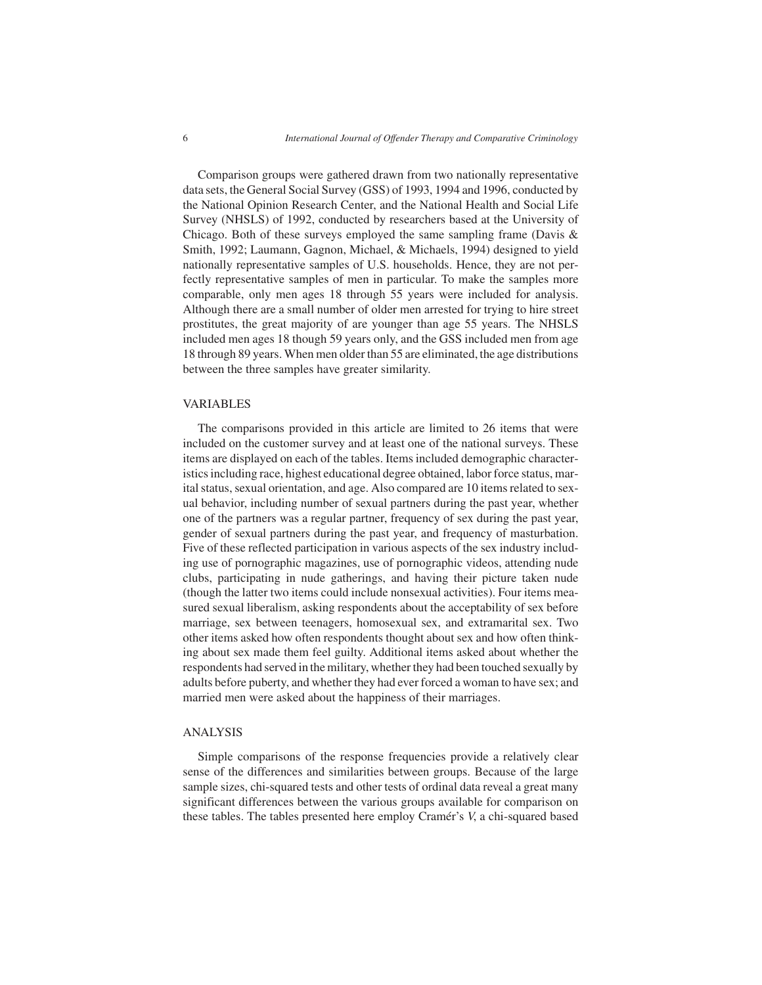Comparison groups were gathered drawn from two nationally representative data sets, the General Social Survey (GSS) of 1993, 1994 and 1996, conducted by the National Opinion Research Center, and the National Health and Social Life Survey (NHSLS) of 1992, conducted by researchers based at the University of Chicago. Both of these surveys employed the same sampling frame (Davis & Smith, 1992; Laumann, Gagnon, Michael, & Michaels, 1994) designed to yield nationally representative samples of U.S. households. Hence, they are not perfectly representative samples of men in particular. To make the samples more comparable, only men ages 18 through 55 years were included for analysis. Although there are a small number of older men arrested for trying to hire street prostitutes, the great majority of are younger than age 55 years. The NHSLS included men ages 18 though 59 years only, and the GSS included men from age 18 through 89 years. When men older than 55 are eliminated, the age distributions between the three samples have greater similarity.

#### VARIABLES

The comparisons provided in this article are limited to 26 items that were included on the customer survey and at least one of the national surveys. These items are displayed on each of the tables. Items included demographic characteristics including race, highest educational degree obtained, labor force status, marital status, sexual orientation, and age. Also compared are 10 items related to sexual behavior, including number of sexual partners during the past year, whether one of the partners was a regular partner, frequency of sex during the past year, gender of sexual partners during the past year, and frequency of masturbation. Five of these reflected participation in various aspects of the sex industry including use of pornographic magazines, use of pornographic videos, attending nude clubs, participating in nude gatherings, and having their picture taken nude (though the latter two items could include nonsexual activities). Four items measured sexual liberalism, asking respondents about the acceptability of sex before marriage, sex between teenagers, homosexual sex, and extramarital sex. Two other items asked how often respondents thought about sex and how often thinking about sex made them feel guilty. Additional items asked about whether the respondents had served in the military, whether they had been touched sexually by adults before puberty, and whether they had ever forced a woman to have sex; and married men were asked about the happiness of their marriages.

#### ANALYSIS

Simple comparisons of the response frequencies provide a relatively clear sense of the differences and similarities between groups. Because of the large sample sizes, chi-squared tests and other tests of ordinal data reveal a great many significant differences between the various groups available for comparison on these tables. The tables presented here employ Cramér's *V*, a chi-squared based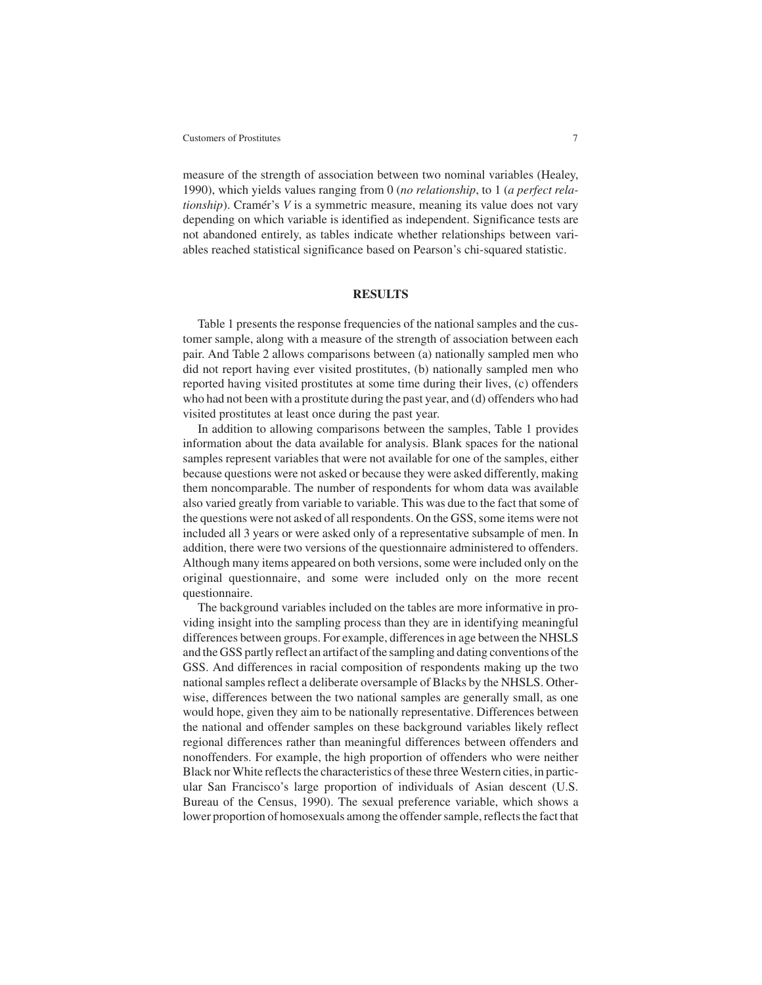measure of the strength of association between two nominal variables (Healey, 1990), which yields values ranging from 0 (*no relationship*, to 1 (*a perfect relationship*). Cramér's *V* is a symmetric measure, meaning its value does not vary depending on which variable is identified as independent. Significance tests are not abandoned entirely, as tables indicate whether relationships between variables reached statistical significance based on Pearson's chi-squared statistic.

### **RESULTS**

Table 1 presents the response frequencies of the national samples and the customer sample, along with a measure of the strength of association between each pair. And Table 2 allows comparisons between (a) nationally sampled men who did not report having ever visited prostitutes, (b) nationally sampled men who reported having visited prostitutes at some time during their lives, (c) offenders who had not been with a prostitute during the past year, and (d) offenders who had visited prostitutes at least once during the past year.

In addition to allowing comparisons between the samples, Table 1 provides information about the data available for analysis. Blank spaces for the national samples represent variables that were not available for one of the samples, either because questions were not asked or because they were asked differently, making them noncomparable. The number of respondents for whom data was available also varied greatly from variable to variable. This was due to the fact that some of the questions were not asked of all respondents. On the GSS, some items were not included all 3 years or were asked only of a representative subsample of men. In addition, there were two versions of the questionnaire administered to offenders. Although many items appeared on both versions, some were included only on the original questionnaire, and some were included only on the more recent questionnaire.

The background variables included on the tables are more informative in providing insight into the sampling process than they are in identifying meaningful differences between groups. For example, differences in age between the NHSLS and the GSS partly reflect an artifact of the sampling and dating conventions of the GSS. And differences in racial composition of respondents making up the two national samples reflect a deliberate oversample of Blacks by the NHSLS. Otherwise, differences between the two national samples are generally small, as one would hope, given they aim to be nationally representative. Differences between the national and offender samples on these background variables likely reflect regional differences rather than meaningful differences between offenders and nonoffenders. For example, the high proportion of offenders who were neither Black nor White reflects the characteristics of these three Western cities, in particular San Francisco's large proportion of individuals of Asian descent (U.S. Bureau of the Census, 1990). The sexual preference variable, which shows a lower proportion of homosexuals among the offender sample, reflects the fact that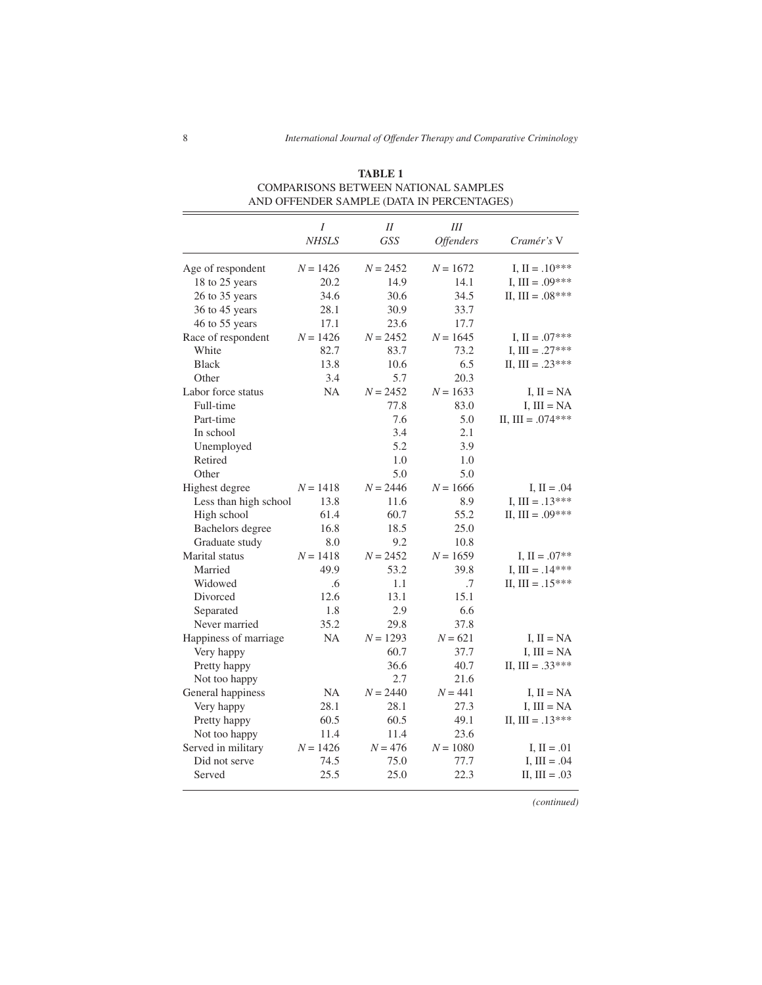|                       | Ι            | $I\!I$     | Ш                |                     |
|-----------------------|--------------|------------|------------------|---------------------|
|                       | <b>NHSLS</b> | <b>GSS</b> | <b>Offenders</b> | Cramér's V          |
| Age of respondent     | $N = 1426$   | $N = 2452$ | $N = 1672$       | I, $II = .10***$    |
| 18 to 25 years        | 20.2         | 14.9       | 14.1             | I, III = $.09***$   |
| 26 to 35 years        | 34.6         | 30.6       | 34.5             | II, III = $.08***$  |
| 36 to 45 years        | 28.1         | 30.9       | 33.7             |                     |
| 46 to 55 years        | 17.1         | 23.6       | 17.7             |                     |
| Race of respondent    | $N = 1426$   | $N = 2452$ | $N = 1645$       | I, $II = .07***$    |
| White                 | 82.7         | 83.7       | 73.2             | I, III = $.27***$   |
| <b>Black</b>          | 13.8         | 10.6       | 6.5              | II, III = $.23***$  |
| Other                 | 3.4          | 5.7        | 20.3             |                     |
| Labor force status    | NA           | $N = 2452$ | $N = 1633$       | I, $II = NA$        |
| Full-time             |              | 77.8       | 83.0             | I, $III = NA$       |
| Part-time             |              | 7.6        | 5.0              | II, III = $.074***$ |
| In school             |              | 3.4        | 2.1              |                     |
| Unemployed            |              | 5.2        | 3.9              |                     |
| Retired               |              | 1.0        | 1.0              |                     |
| Other                 |              | 5.0        | 5.0              |                     |
| Highest degree        | $N = 1418$   | $N = 2446$ | $N = 1666$       | I, $II = .04$       |
| Less than high school | 13.8         | 11.6       | 8.9              | I, III = $.13***$   |
| High school           | 61.4         | 60.7       | 55.2             | II, III = $.09***$  |
| Bachelors degree      | 16.8         | 18.5       | 25.0             |                     |
| Graduate study        | 8.0          | 9.2        | 10.8             |                     |
| Marital status        | $N = 1418$   | $N = 2452$ | $N = 1659$       | I, $II = .07**$     |
| Married               | 49.9         | 53.2       | 39.8             | I, III = $.14***$   |
| Widowed               | .6           | 1.1        | .7               | II, III = $.15***$  |
| Divorced              | 12.6         | 13.1       | 15.1             |                     |
| Separated             | 1.8          | 2.9        | 6.6              |                     |
| Never married         | 35.2         | 29.8       | 37.8             |                     |
| Happiness of marriage | NA           | $N = 1293$ | $N = 621$        | $I, II = NA$        |
| Very happy            |              | 60.7       | 37.7             | I, $III = NA$       |
| Pretty happy          |              | 36.6       | 40.7             | II, III = $.33***$  |
| Not too happy         |              | 2.7        | 21.6             |                     |
| General happiness     | NA           | $N = 2440$ | $N = 441$        | I, $II = NA$        |
| Very happy            | 28.1         | 28.1       | 27.3             | I, $III = NA$       |
| Pretty happy          | 60.5         | 60.5       | 49.1             | II, III = $.13***$  |
| Not too happy         | 11.4         | 11.4       | 23.6             |                     |
| Served in military    | $N = 1426$   | $N = 476$  | $N = 1080$       | I, $II = .01$       |
| Did not serve         | 74.5         | 75.0       | 77.7             | I, $III = .04$      |
| Served                | 25.5         | 25.0       | 22.3             | $II, III = .03$     |

**TABLE 1** COMPARISONS BETWEEN NATIONAL SAMPLES AND OFFENDER SAMPLE (DATA IN PERCENTAGES)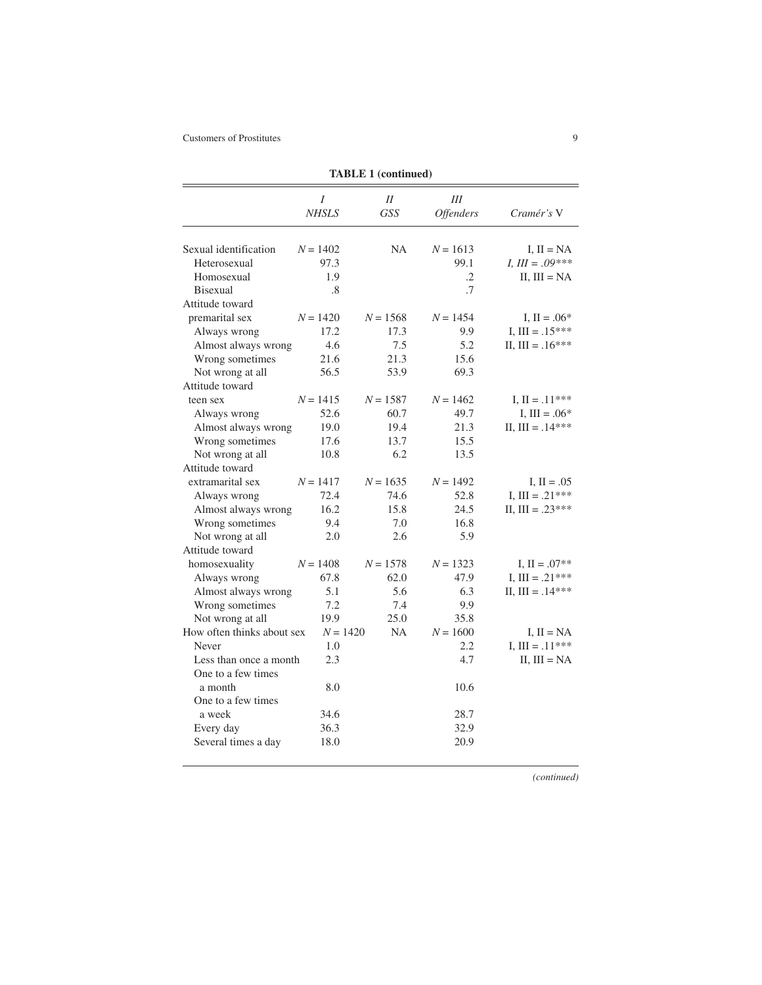| <b>TABLE 1 (continued)</b> |                   |                  |                       |                    |  |  |
|----------------------------|-------------------|------------------|-----------------------|--------------------|--|--|
|                            | I<br><b>NHSLS</b> | II<br><b>GSS</b> | Ш<br><b>Offenders</b> | Cramér's V         |  |  |
|                            |                   |                  |                       |                    |  |  |
| Sexual identification      | $N = 1402$        | <b>NA</b>        | $N = 1613$            | I, $II = NA$       |  |  |
| Heterosexual               | 97.3              |                  | 99.1                  | $I, III = .09***$  |  |  |
| Homosexual                 | 1.9               |                  | $\cdot$ 2             | II, $III = NA$     |  |  |
| <b>Bisexual</b>            | .8                |                  | $\cdot$ 7             |                    |  |  |
| Attitude toward            |                   |                  |                       |                    |  |  |
| premarital sex             | $N = 1420$        | $N = 1568$       | $N = 1454$            | I, $II = .06*$     |  |  |
| Always wrong               | 17.2              | 17.3             | 9.9                   | I, III = $.15***$  |  |  |
| Almost always wrong        | 4.6               | 7.5              | 5.2                   | II, III = $.16***$ |  |  |
| Wrong sometimes            | 21.6              | 21.3             | 15.6                  |                    |  |  |
| Not wrong at all           | 56.5              | 53.9             | 69.3                  |                    |  |  |
| Attitude toward            |                   |                  |                       |                    |  |  |
| teen sex                   | $N = 1415$        | $N = 1587$       | $N = 1462$            | I, $II = .11***$   |  |  |
| Always wrong               | 52.6              | 60.7             | 49.7                  | I, III = $.06*$    |  |  |
| Almost always wrong        | 19.0              | 19.4             | 21.3                  | II, $III = .14***$ |  |  |
| Wrong sometimes            | 17.6              | 13.7             | 15.5                  |                    |  |  |
| Not wrong at all           | 10.8              | 6.2              | 13.5                  |                    |  |  |
| Attitude toward            |                   |                  |                       |                    |  |  |
| extramarital sex           | $N = 1417$        | $N = 1635$       | $N = 1492$            | I, $II = .05$      |  |  |
| Always wrong               | 72.4              | 74.6             | 52.8                  | I, III = $.21***$  |  |  |
| Almost always wrong        | 16.2              | 15.8             | 24.5                  | II, III = $.23***$ |  |  |
| Wrong sometimes            | 9.4               | 7.0              | 16.8                  |                    |  |  |
| Not wrong at all           | 2.0               | 2.6              | 5.9                   |                    |  |  |
| Attitude toward            |                   |                  |                       |                    |  |  |
| homosexuality              | $N = 1408$        | $N = 1578$       | $N = 1323$            | I, $II = .07**$    |  |  |
| Always wrong               | 67.8              | 62.0             | 47.9                  | I, III = $.21***$  |  |  |
| Almost always wrong        | 5.1               | 5.6              | 6.3                   | II, III = $.14***$ |  |  |
| Wrong sometimes            | 7.2               | 7.4              | 9.9                   |                    |  |  |
| Not wrong at all           | 19.9              | 25.0             | 35.8                  |                    |  |  |
| How often thinks about sex |                   | $N = 1420$<br>NA | $N = 1600$            | $I, II = NA$       |  |  |
| Never                      | 1.0               |                  | 2.2                   | I, III = $.11***$  |  |  |
| Less than once a month     | 2.3               |                  | 4.7                   | $II, III = NA$     |  |  |
| One to a few times         |                   |                  |                       |                    |  |  |
| a month                    | 8.0               |                  | 10.6                  |                    |  |  |
| One to a few times         |                   |                  |                       |                    |  |  |
| a week                     | 34.6              |                  | 28.7                  |                    |  |  |
| Every day                  | 36.3              |                  | 32.9                  |                    |  |  |
|                            |                   |                  |                       |                    |  |  |
| Several times a day        | 18.0              |                  | 20.9                  |                    |  |  |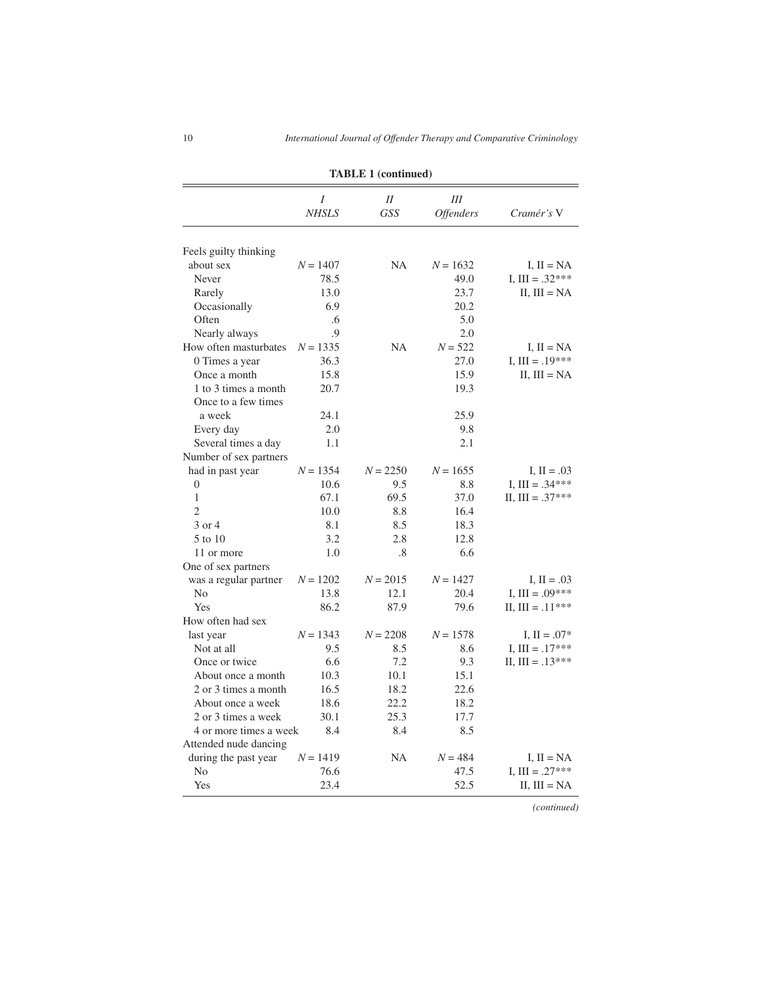|                                            | <b>TABLE 1 (continued)</b> |                      |                       |                    |  |  |  |
|--------------------------------------------|----------------------------|----------------------|-----------------------|--------------------|--|--|--|
|                                            | Ι<br><b>NHSLS</b>          | $I\!I$<br><b>GSS</b> | Ш<br><b>Offenders</b> | Cramér's V         |  |  |  |
|                                            |                            |                      |                       |                    |  |  |  |
| Feels guilty thinking                      |                            |                      |                       |                    |  |  |  |
| about sex                                  | $N = 1407$                 | <b>NA</b>            | $N = 1632$            | I, $II = NA$       |  |  |  |
| Never                                      | 78.5                       |                      | 49.0                  | I, III = $.32***$  |  |  |  |
| Rarely                                     | 13.0                       |                      | 23.7                  | II, $III = NA$     |  |  |  |
| Occasionally                               | 6.9                        |                      | 20.2                  |                    |  |  |  |
| Often                                      | .6                         |                      | 5.0                   |                    |  |  |  |
| Nearly always                              | .9                         |                      | 2.0                   |                    |  |  |  |
| How often masturbates                      | $N = 1335$                 | NA                   | $N = 522$             | I, $II = NA$       |  |  |  |
| 0 Times a year                             | 36.3                       |                      | 27.0                  | I, III = $.19***$  |  |  |  |
| Once a month                               | 15.8                       |                      | 15.9                  | II, $III = NA$     |  |  |  |
| 1 to 3 times a month                       | 20.7                       |                      | 19.3                  |                    |  |  |  |
| Once to a few times                        |                            |                      |                       |                    |  |  |  |
| a week                                     | 24.1                       |                      | 25.9                  |                    |  |  |  |
| Every day                                  | 2.0                        |                      | 9.8                   |                    |  |  |  |
| Several times a day                        | 1.1                        |                      | 2.1                   |                    |  |  |  |
| Number of sex partners                     |                            |                      |                       |                    |  |  |  |
| had in past year                           | $N = 1354$                 | $N = 2250$           | $N = 1655$            | I, $II = .03$      |  |  |  |
| $\theta$                                   | 10.6                       | 9.5                  | 8.8                   | I, III = $.34***$  |  |  |  |
| 1                                          | 67.1                       | 69.5                 | 37.0                  | II, III = $.37***$ |  |  |  |
| $\overline{c}$                             | 10.0                       | 8.8                  | 16.4                  |                    |  |  |  |
| 3 or 4                                     | 8.1                        | 8.5                  | 18.3                  |                    |  |  |  |
| 5 to 10                                    | 3.2                        | 2.8                  | 12.8                  |                    |  |  |  |
| 11 or more                                 | 1.0                        | .8                   | 6.6                   |                    |  |  |  |
| One of sex partners                        |                            |                      |                       |                    |  |  |  |
| was a regular partner                      | $N = 1202$                 | $N = 2015$           | $N = 1427$            | I, $II = .03$      |  |  |  |
| No                                         | 13.8                       | 12.1                 | 20.4                  | I, III = $.09***$  |  |  |  |
| Yes                                        | 86.2                       | 87.9                 | 79.6                  | II, $III = .11***$ |  |  |  |
| How often had sex                          |                            |                      |                       |                    |  |  |  |
| last year                                  | $N = 1343$                 | $N = 2208$           | $N = 1578$            | $I, II = .07*$     |  |  |  |
| Not at all                                 | 9.5                        | 8.5                  | 8.6                   | I, III = $.17***$  |  |  |  |
| Once or twice                              | 6.6                        | 7.2                  | 9.3                   | II, III = $.13***$ |  |  |  |
|                                            |                            |                      |                       |                    |  |  |  |
| About once a month<br>2 or 3 times a month | 10.3<br>16.5               | 10.1<br>18.2         | 15.1<br>22.6          |                    |  |  |  |
|                                            |                            |                      |                       |                    |  |  |  |
| About once a week                          | 18.6                       | 22.2                 | 18.2                  |                    |  |  |  |
| 2 or 3 times a week                        | 30.1                       | 25.3                 | 17.7                  |                    |  |  |  |
| 4 or more times a week                     | 8.4                        | 8.4                  | 8.5                   |                    |  |  |  |
| Attended nude dancing                      |                            |                      |                       |                    |  |  |  |
| during the past year                       | $N = 1419$                 | NA                   | $N = 484$             | I, $II = NA$       |  |  |  |
| No                                         | 76.6                       |                      | 47.5                  | I, III = $.27***$  |  |  |  |
| Yes                                        | 23.4                       |                      | 52.5                  | $II, III = NA$     |  |  |  |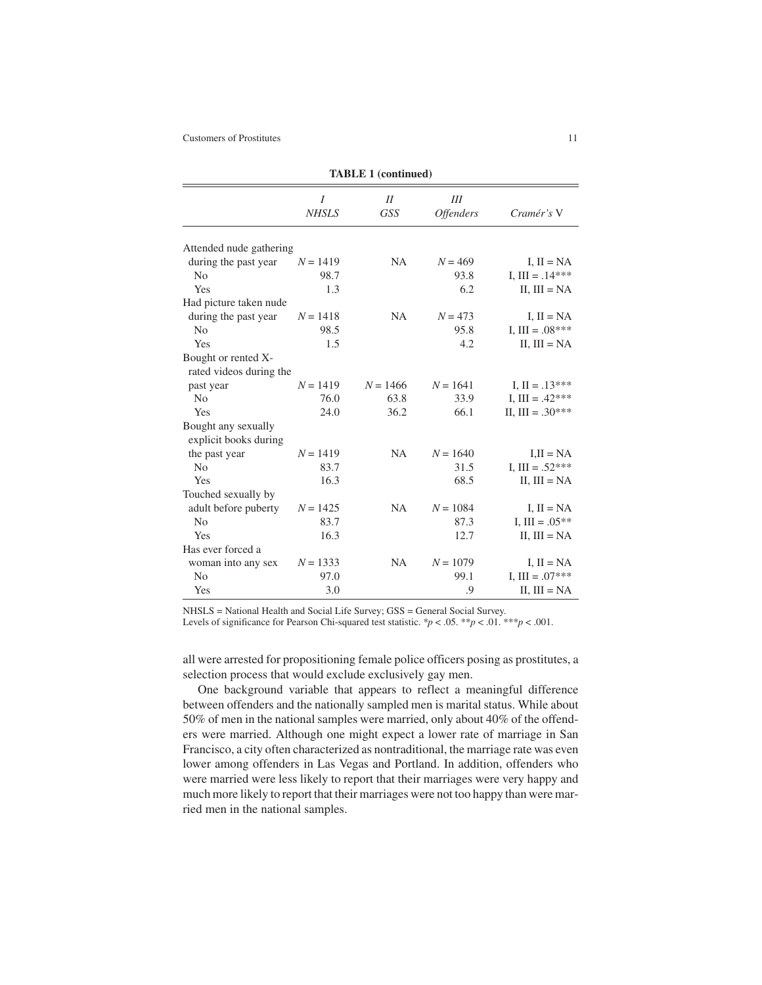| <b>TABLE 1 (continued)</b>                     |                   |                  |                              |                    |  |  |
|------------------------------------------------|-------------------|------------------|------------------------------|--------------------|--|--|
|                                                | I<br><b>NHSLS</b> | II<br><b>GSS</b> | Ш<br><i><b>Offenders</b></i> | Cramér's V         |  |  |
| Attended nude gathering                        |                   |                  |                              |                    |  |  |
| during the past year                           | $N = 1419$        | NA               | $N = 469$                    | I, $II = NA$       |  |  |
| N <sub>0</sub>                                 | 98.7              |                  | 93.8                         | I, III = $.14***$  |  |  |
| Yes                                            | 1.3               |                  | 6.2                          | II, $III = NA$     |  |  |
| Had picture taken nude                         |                   |                  |                              |                    |  |  |
| during the past year                           | $N = 1418$        | <b>NA</b>        | $N = 473$                    | I, $II = NA$       |  |  |
| N <sub>o</sub>                                 | 98.5              |                  | 95.8                         | I. III = $.08***$  |  |  |
| Yes                                            | 1.5               |                  | 4.2                          | II, $III = NA$     |  |  |
| Bought or rented X-<br>rated videos during the |                   |                  |                              |                    |  |  |
| past year                                      | $N = 1419$        | $N = 1466$       | $N = 1641$                   | I, $II = .13***$   |  |  |
| N <sub>0</sub>                                 | 76.0              | 63.8             | 33.9                         | I, III = $.42***$  |  |  |
| Yes                                            | 24.0              | 36.2             | 66.1                         | II, III = $.30***$ |  |  |
| Bought any sexually<br>explicit books during   |                   |                  |                              |                    |  |  |
| the past year                                  | $N = 1419$        | <b>NA</b>        | $N = 1640$                   | $I1I I = NA$       |  |  |
| No                                             | 83.7              |                  | 31.5                         | I, III = $.52***$  |  |  |
| Yes                                            | 16.3              |                  | 68.5                         | II, $III = NA$     |  |  |
| Touched sexually by                            |                   |                  |                              |                    |  |  |
| adult before puberty                           | $N = 1425$        | <b>NA</b>        | $N = 1084$                   | I, $II = NA$       |  |  |
| N <sub>0</sub>                                 | 83.7              |                  | 87.3                         | I, III = $.05**$   |  |  |
| Yes                                            | 16.3              |                  | 12.7                         | $II$ , $III = NA$  |  |  |
| Has ever forced a                              |                   |                  |                              |                    |  |  |
| woman into any sex                             | $N = 1333$        | <b>NA</b>        | $N = 1079$                   | I, $II = NA$       |  |  |
| N <sub>0</sub>                                 | 97.0              |                  | 99.1                         | I, III = $.07***$  |  |  |
| Yes                                            | 3.0               |                  | .9                           | II, $III = NA$     |  |  |

NHSLS = National Health and Social Life Survey; GSS = General Social Survey.

Levels of significance for Pearson Chi-squared test statistic.  $\gamma p < .05$ .  $\gamma p < .01$ .  $\gamma p < .001$ .

all were arrested for propositioning female police officers posing as prostitutes, a selection process that would exclude exclusively gay men.

One background variable that appears to reflect a meaningful difference between offenders and the nationally sampled men is marital status. While about 50% of men in the national samples were married, only about 40% of the offenders were married. Although one might expect a lower rate of marriage in San Francisco, a city often characterized as nontraditional, the marriage rate was even lower among offenders in Las Vegas and Portland. In addition, offenders who were married were less likely to report that their marriages were very happy and much more likely to report that their marriages were not too happy than were married men in the national samples.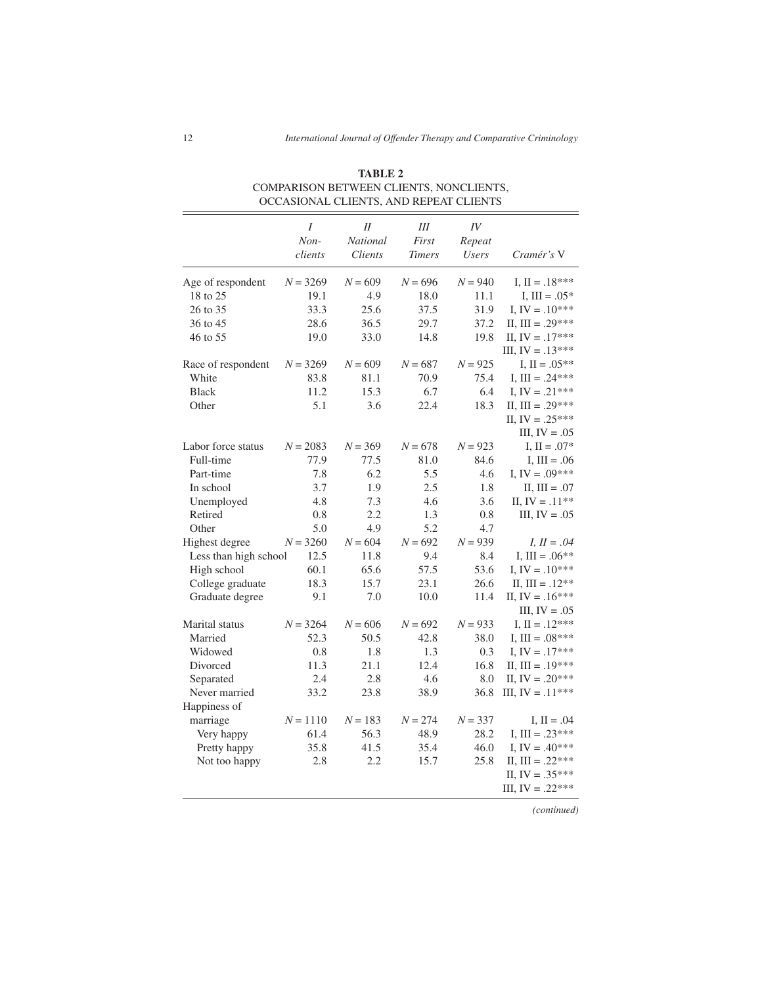|                       | $\overline{I}$<br>Non-<br>clients | II<br>National<br><i>Clients</i> | $I\!I\!I$<br>First<br><b>Timers</b> | IV<br>Repeat<br>Users | Cramér's V            |
|-----------------------|-----------------------------------|----------------------------------|-------------------------------------|-----------------------|-----------------------|
| Age of respondent     | $N = 3269$                        | $N = 609$                        | $N = 696$                           | $N = 940$             | I, $II = .18***$      |
| 18 to 25              | 19.1                              | 4.9                              | 18.0                                | 11.1                  | I, III = $.05*$       |
| 26 to 35              | 33.3                              | 25.6                             | 37.5                                | 31.9                  | I, IV = $.10***$      |
| 36 to 45              | 28.6                              | 36.5                             | 29.7                                | 37.2                  | II, III = .29***      |
| 46 to 55              | 19.0                              | 33.0                             | 14.8                                | 19.8                  | II, IV = $.17***$     |
|                       |                                   |                                  |                                     |                       | III, IV = $.13***$    |
| Race of respondent    | $N = 3269$                        | $N = 609$                        | $N = 687$                           | $N = 925$             | I, $II = .05**$       |
| White                 | 83.8                              | 81.1                             | 70.9                                | 75.4                  | I, III = $.24***$     |
| <b>Black</b>          | 11.2                              | 15.3                             | 6.7                                 | 6.4                   | I, IV = $.21***$      |
| Other                 | 5.1                               | 3.6                              | 22.4                                | 18.3                  | II, III = $.29***$    |
|                       |                                   |                                  |                                     |                       | II, IV = $.25***$     |
|                       |                                   |                                  |                                     |                       | III, $IV = .05$       |
| Labor force status    | $N = 2083$                        | $N = 369$                        | $N = 678$                           | $N = 923$             | I, $II = .07*$        |
| Full-time             | 77.9                              | 77.5                             | 81.0                                | 84.6                  | I, $III = .06$        |
| Part-time             | 7.8                               | 6.2                              | 5.5                                 | 4.6                   | I, IV = $.09***$      |
| In school             | 3.7                               | 1.9                              | 2.5                                 | 1.8                   | II, III = .07         |
| Unemployed            | 4.8                               | 7.3                              | 4.6                                 | 3.6                   | II, $IV = .11**$      |
| Retired               | 0.8                               | 2.2                              | 1.3                                 | 0.8                   | III, $IV = .05$       |
| Other                 | 5.0                               | 4.9                              | 5.2                                 | 4.7                   |                       |
| Highest degree        | $N = 3260$                        | $N = 604$                        | $N = 692$                           | $N = 939$             | <i>I</i> , $II = .04$ |
| Less than high school | 12.5                              | 11.8                             | 9.4                                 | 8.4                   | I, III = $.06**$      |
| High school           | 60.1                              | 65.6                             | 57.5                                | 53.6                  | I, IV = $.10***$      |
| College graduate      | 18.3                              | 15.7                             | 23.1                                | 26.6                  | II, III = $.12**$     |
| Graduate degree       | 9.1                               | 7.0                              | 10.0                                | 11.4                  | II, IV = $.16***$     |
|                       |                                   |                                  |                                     |                       | III, $IV = .05$       |
| Marital status        | $N = 3264$                        | $N = 606$                        | $N = 692$                           | $N = 933$             | I, $II = .12***$      |
| Married               | 52.3                              | 50.5                             | 42.8                                | 38.0                  | I, III = $.08***$     |
| Widowed               | 0.8                               | 1.8                              | 1.3                                 | 0.3                   | I, IV = $.17***$      |
| Divorced              | 11.3                              | 21.1                             | 12.4                                | 16.8                  | II, III = $.19***$    |
| Separated             | 2.4                               | 2.8                              | 4.6                                 | 8.0                   | II, IV = $.20***$     |
| Never married         | 33.2                              | 23.8                             | 38.9                                | 36.8                  | III, IV = $.11***$    |
| Happiness of          |                                   |                                  |                                     |                       |                       |
| marriage              | $N = 1110$                        | $N = 183$                        | $N = 274$                           | $N = 337$             | I, $II = .04$         |
| Very happy            | 61.4                              | 56.3                             | 48.9                                | 28.2                  | I, III = $.23***$     |
| Pretty happy          | 35.8                              | 41.5                             | 35.4                                | 46.0                  | I, IV = $.40***$      |
| Not too happy         | 2.8                               | 2.2                              | 15.7                                | 25.8                  | II, III = $.22***$    |
|                       |                                   |                                  |                                     |                       | II, IV = $.35***$     |
|                       |                                   |                                  |                                     |                       | III, IV = $.22***$    |

**TABLE 2** COMPARISON BETWEEN CLIENTS, NONCLIENTS, OCCASIONAL CLIENTS, AND REPEAT CLIENTS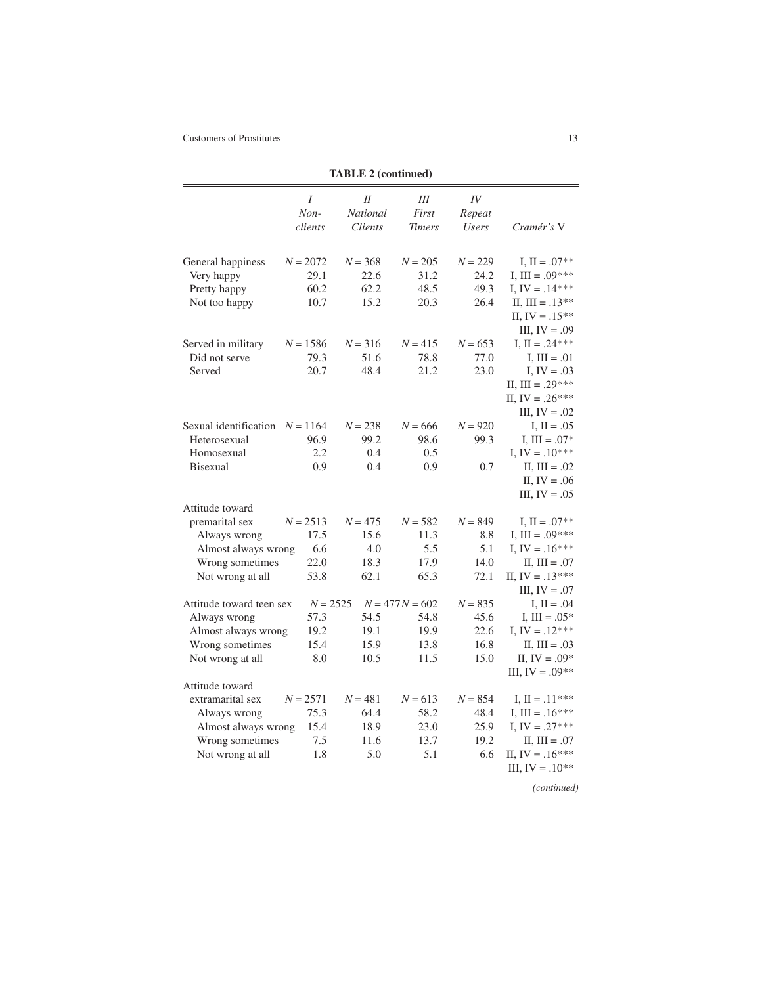|                                     |                      | IABLE 2 (continued)       |                             |                              |                   |
|-------------------------------------|----------------------|---------------------------|-----------------------------|------------------------------|-------------------|
|                                     | I<br>Non-<br>clients | II<br>National<br>Clients | Ш<br>First<br><b>Timers</b> | IV<br>Repeat<br><b>Users</b> | Cramér's V        |
|                                     |                      |                           |                             |                              |                   |
|                                     |                      |                           |                             |                              | I, $II = .07**$   |
| General happiness                   | $N = 2072$<br>29.1   | $N = 368$<br>22.6         | $N = 205$<br>31.2           | $N = 229$<br>24.2            | I, III = $.09***$ |
| Very happy                          | 60.2                 | 62.2                      | 48.5                        | 49.3                         | I, IV = $.14***$  |
| Pretty happy<br>Not too happy       | 10.7                 | 15.2                      | 20.3                        | 26.4                         | II, $III = .13**$ |
|                                     |                      |                           |                             |                              | II, $IV = .15**$  |
|                                     |                      |                           |                             |                              |                   |
|                                     |                      |                           |                             |                              | III, $IV = .09$   |
| Served in military<br>Did not serve | $N = 1586$<br>79.3   | $N = 316$<br>51.6         | $N = 415$<br>78.8           | $N = 653$<br>77.0            | I, $II = .24***$  |
| Served                              |                      | 48.4                      |                             |                              | I, $III = .01$    |
|                                     | 20.7                 |                           | 21.2                        | 23.0                         | I, $IV = .03$     |
|                                     |                      |                           |                             |                              | II, III = .29***  |
|                                     |                      |                           |                             |                              | II, IV = $.26***$ |
|                                     |                      |                           |                             |                              | III, $IV = .02$   |
| Sexual identification $N = 1164$    |                      | $N = 238$                 | $N = 666$                   | $N = 920$                    | I, $II = .05$     |
| Heterosexual                        | 96.9                 | 99.2                      | 98.6                        | 99.3                         | I, III = $.07*$   |
| Homosexual                          | 2.2                  | 0.4                       | 0.5                         |                              | I, IV = $.10***$  |
| <b>Bisexual</b>                     | 0.9                  | 0.4                       | 0.9                         | 0.7                          | $II, III = .02$   |
|                                     |                      |                           |                             |                              | II, $IV = .06$    |
|                                     |                      |                           |                             |                              | III, $IV = .05$   |
| Attitude toward                     |                      |                           |                             |                              |                   |
| premarital sex                      | $N = 2513$           | $N = 475$                 | $N = 582$                   | $N = 849$                    | I, $II = .07**$   |
| Always wrong                        | 17.5                 | 15.6                      | 11.3                        | 8.8                          | I, III = $.09***$ |
| Almost always wrong                 | 6.6                  | 4.0                       | 5.5                         | 5.1                          | I, IV = $.16***$  |
| Wrong sometimes                     | 22.0                 | 18.3                      | 17.9                        | 14.0                         | $II, III = .07$   |
| Not wrong at all                    | 53.8                 | 62.1                      | 65.3                        | 72.1                         | II, IV = $.13***$ |
|                                     |                      |                           |                             |                              | III, $IV = .07$   |
| Attitude toward teen sex            | $N = 2525$           |                           | $N = 477N = 602$            | $N = 835$                    | I, $II = .04$     |
| Always wrong                        | 57.3                 | 54.5                      | 54.8                        | 45.6                         | I, III = $.05*$   |
| Almost always wrong                 | 19.2                 | 19.1                      | 19.9                        | 22.6                         | I, IV = $.12***$  |
| Wrong sometimes                     | 15.4                 | 15.9                      | 13.8                        | 16.8                         | $II, III = .03$   |
| Not wrong at all                    | 8.0                  | 10.5                      | 11.5                        | 15.0                         | II, $IV = .09*$   |
|                                     |                      |                           |                             |                              | III, $IV = .09**$ |
| Attitude toward                     |                      |                           |                             |                              |                   |
| extramarital sex                    | $N = 2571$           | $N = 481$                 | $N = 613$                   | $N = 854$                    | I, $II = .11***$  |
| Always wrong                        | 75.3                 | 64.4                      | 58.2                        | 48.4                         | I, III = $.16***$ |
| Almost always wrong                 | 15.4                 | 18.9                      | 23.0                        | 25.9                         | I, IV = $.27***$  |
| Wrong sometimes                     | 7.5                  | 11.6                      | 13.7                        | 19.2                         | II, $III = .07$   |
| Not wrong at all                    | 1.8                  | 5.0                       | 5.1                         | 6.6                          | II, IV = $.16***$ |
|                                     |                      |                           |                             |                              | III, IV = $.10**$ |

**TABLE 2 (continued)**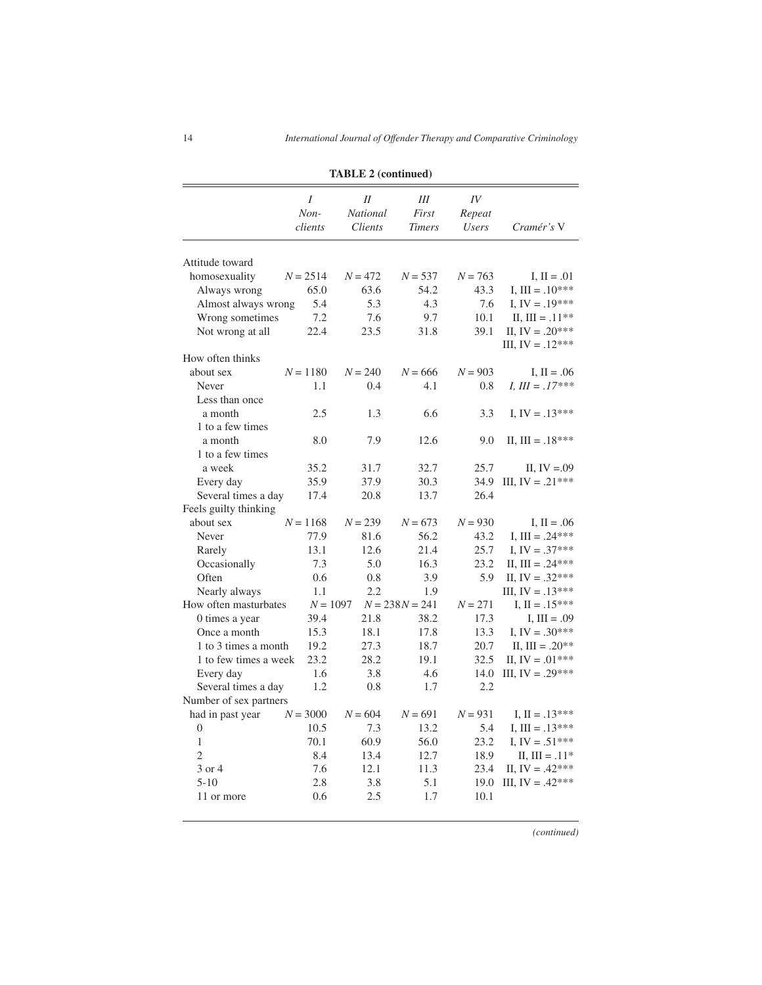|                        |                      | $1/\sqrt{2}$ = (community)            |                             |                              |                    |
|------------------------|----------------------|---------------------------------------|-----------------------------|------------------------------|--------------------|
|                        | I<br>Non-<br>clients | $_{II}$<br><b>National</b><br>Clients | Ш<br>First<br><b>Timers</b> | IV<br>Repeat<br><b>Users</b> | Cramér's V         |
| Attitude toward        |                      |                                       |                             |                              |                    |
| homosexuality          | $N = 2514$           | $N = 472$                             | $N = 537$                   | $N = 763$                    | I, $II = .01$      |
| Always wrong           | 65.0                 | 63.6                                  | 54.2                        | 43.3                         | I, III = $.10***$  |
| Almost always wrong    | 5.4                  | 5.3                                   | 4.3                         | 7.6                          | I, IV = $.19***$   |
| Wrong sometimes        | 7.2                  | 7.6                                   | 9.7                         | 10.1                         | II, III = $.11**$  |
| Not wrong at all       | 22.4                 | 23.5                                  | 31.8                        | 39.1                         | II, IV = $.20***$  |
| How often thinks       |                      |                                       |                             |                              | III, $IV = .12***$ |
| about sex              | $N = 1180$           | $N = 240$                             | $N = 666$                   | $N = 903$                    | I, $II = .06$      |
| Never                  | 1.1                  | 0.4                                   | 4.1                         | 0.8                          | $I, III = .17***$  |
| Less than once         |                      |                                       |                             |                              |                    |
| a month                | 2.5                  | 1.3                                   | 6.6                         | 3.3                          | I, IV = $.13***$   |
| 1 to a few times       |                      |                                       |                             |                              |                    |
| a month                | 8.0                  | 7.9                                   | 12.6                        | 9.0                          | II, III = $.18***$ |
| 1 to a few times       |                      |                                       |                             |                              |                    |
| a week                 | 35.2                 | 31.7                                  | 32.7                        | 25.7                         | II, $IV = .09$     |
| Every day              | 35.9                 | 37.9                                  | 30.3                        | 34.9                         | III, IV = $.21***$ |
| Several times a day    | 17.4                 | 20.8                                  | 13.7                        | 26.4                         |                    |
| Feels guilty thinking  |                      |                                       |                             |                              |                    |
| about sex              | $N = 1168$           | $N = 239$                             | $N = 673$                   | $N = 930$                    | I, $II = .06$      |
| Never                  | 77.9                 | 81.6                                  | 56.2                        | 43.2                         | I, III = $.24***$  |
| Rarely                 | 13.1                 | 12.6                                  | 21.4                        | 25.7                         | I, IV = $.37***$   |
| Occasionally           | 7.3                  | 5.0                                   | 16.3                        | 23.2                         | II, III = .24***   |
| Often                  | 0.6                  | 0.8                                   | 3.9                         | 5.9                          | II, IV = $.32***$  |
| Nearly always          | 1.1                  | 2.2                                   | 1.9                         |                              | III, IV = $.13***$ |
| How often masturbates  | $N = 1097$           |                                       | $N = 238N = 241$            | $N = 271$                    | I, $II = .15***$   |
| 0 times a year         | 39.4                 | 21.8                                  | 38.2                        | 17.3                         | $I, III = .09$     |
| Once a month           | 15.3                 | 18.1                                  | 17.8                        | 13.3                         | I, IV = $.30***$   |
| 1 to 3 times a month   | 19.2                 | 27.3                                  | 18.7                        | 20.7                         | II, III = $.20**$  |
| 1 to few times a week  | 23.2                 | 28.2                                  | 19.1                        | 32.5                         | II, IV = $.01***$  |
| Every day              | 1.6                  | 3.8                                   | 4.6                         | 14.0                         | III, IV = $.29***$ |
| Several times a day    | 1.2                  | 0.8                                   | 1.7                         | 2.2                          |                    |
| Number of sex partners |                      |                                       |                             |                              |                    |
| had in past year       | $N = 3000$           | $N = 604$                             | $N = 691$                   | $N = 931$                    | I, $II = .13***$   |
| $\boldsymbol{0}$       | 10.5                 | 7.3                                   | 13.2                        | 5.4                          | I, III = $.13***$  |
| $\mathbf{1}$           | 70.1                 | 60.9                                  | 56.0                        | 23.2                         | I, IV = $.51***$   |
| $\overline{2}$         | 8.4                  | 13.4                                  | 12.7                        | 18.9                         | II, $III = .11*$   |
| 3 or 4                 | 7.6                  | 12.1                                  | 11.3                        | 23.4                         | II, IV = $.42***$  |
| $5 - 10$               | 2.8                  | 3.8                                   | 5.1                         | 19.0                         | III, IV = $.42***$ |
| 11 or more             | 0.6                  | 2.5                                   | 1.7                         | 10.1                         |                    |

**TABLE 2 (continued)**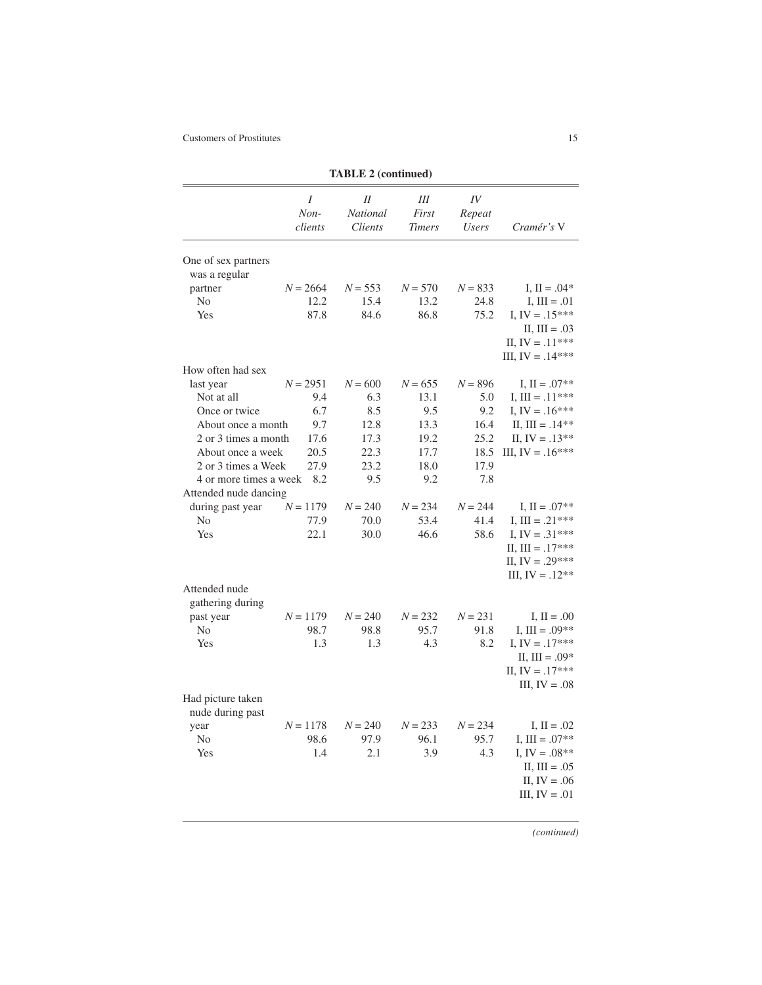|                                                 |                      | TABLE 2 (continued)                          |                             |                              |                                                                                |
|-------------------------------------------------|----------------------|----------------------------------------------|-----------------------------|------------------------------|--------------------------------------------------------------------------------|
|                                                 | Ι<br>Non-<br>clients | $_{II}$<br><b>National</b><br><b>Clients</b> | Ш<br>First<br><b>Timers</b> | IV<br>Repeat<br><b>Users</b> | Cramér's V                                                                     |
| One of sex partners<br>was a regular            |                      |                                              |                             |                              |                                                                                |
| partner                                         | $N = 2664$           | $N = 553$                                    | $N = 570$                   | $N = 833$                    | I, $II = .04*$                                                                 |
| No                                              | 12.2                 | 15.4                                         | 13.2                        | 24.8                         | I, $III = .01$                                                                 |
| Yes                                             | 87.8                 | 84.6                                         | 86.8                        | 75.2                         | I, IV = $.15***$<br>$II, III = .03$<br>II, $IV = .11***$<br>III, IV = $.14***$ |
| How often had sex                               |                      |                                              |                             |                              |                                                                                |
| last year                                       | $N = 2951$           | $N = 600$                                    | $N = 655$                   | $N = 896$                    | I, $II = .07**$                                                                |
| Not at all                                      | 9.4                  | 6.3                                          | 13.1                        | 5.0                          | I, III = $.11***$                                                              |
| Once or twice                                   | 6.7                  | 8.5                                          | 9.5                         | 9.2                          | I, IV = $.16***$                                                               |
| About once a month                              | 9.7                  | 12.8                                         | 13.3                        | 16.4                         | II, III = $.14**$                                                              |
| 2 or 3 times a month                            | 17.6                 | 17.3                                         | 19.2                        | 25.2                         | II, $IV = .13**$                                                               |
| About once a week                               | 20.5                 | 22.3                                         | 17.7                        | 18.5                         | III, $IV = .16***$                                                             |
| 2 or 3 times a Week                             | 27.9                 | 23.2                                         | 18.0                        | 17.9                         |                                                                                |
| 4 or more times a week<br>Attended nude dancing | 8.2                  | 9.5                                          | 9.2                         | 7.8                          |                                                                                |
| during past year                                | $N = 1179$           | $N = 240$                                    | $N = 234$                   | $N = 244$                    | I, $II = .07**$                                                                |
| N <sub>0</sub>                                  | 77.9                 | 70.0                                         | 53.4                        | 41.4                         | I, III = $.21***$                                                              |
| Yes                                             | 22.1                 | 30.0                                         | 46.6                        | 58.6                         | I, IV = $.31***$                                                               |
|                                                 |                      |                                              |                             |                              | II, III = $.17***$                                                             |
|                                                 |                      |                                              |                             |                              | II, IV = $.29***$                                                              |
|                                                 |                      |                                              |                             |                              | III, IV = $.12**$                                                              |
| Attended nude                                   |                      |                                              |                             |                              |                                                                                |
| gathering during                                |                      |                                              |                             |                              |                                                                                |
| past year                                       | $N = 1179$           | $N = 240$                                    | $N = 232$                   | $N = 231$                    | I, $II = .00$                                                                  |
| N <sub>0</sub><br>Yes                           | 98.7<br>1.3          | 98.8                                         | 95.7<br>4.3                 | 91.8<br>8.2                  | I, III = $.09**$                                                               |
|                                                 |                      | 1.3                                          |                             |                              | I, IV = $.17***$<br>II, III = $.09*$                                           |
|                                                 |                      |                                              |                             |                              | II, IV = $.17***$                                                              |
|                                                 |                      |                                              |                             |                              | III, $IV = .08$                                                                |
| Had picture taken                               |                      |                                              |                             |                              |                                                                                |
| nude during past                                |                      |                                              |                             |                              |                                                                                |
| year                                            | $N = 1178$           | $N = 240$                                    | $N = 233$                   | $N = 234$                    | I, $II = .02$                                                                  |
| N <sub>0</sub>                                  | 98.6                 | 97.9                                         | 96.1                        | 95.7                         | I, III = $.07**$                                                               |
| Yes                                             | 1.4                  | 2.1                                          | 3.9                         | 4.3                          | I, IV = $.08**$                                                                |
|                                                 |                      |                                              |                             |                              | II, $III = .05$                                                                |
|                                                 |                      |                                              |                             |                              | II, $IV = .06$                                                                 |
|                                                 |                      |                                              |                             |                              | III, $IV = .01$                                                                |
|                                                 |                      |                                              |                             |                              |                                                                                |

 $TA$ **DI** $E$  2 (continued)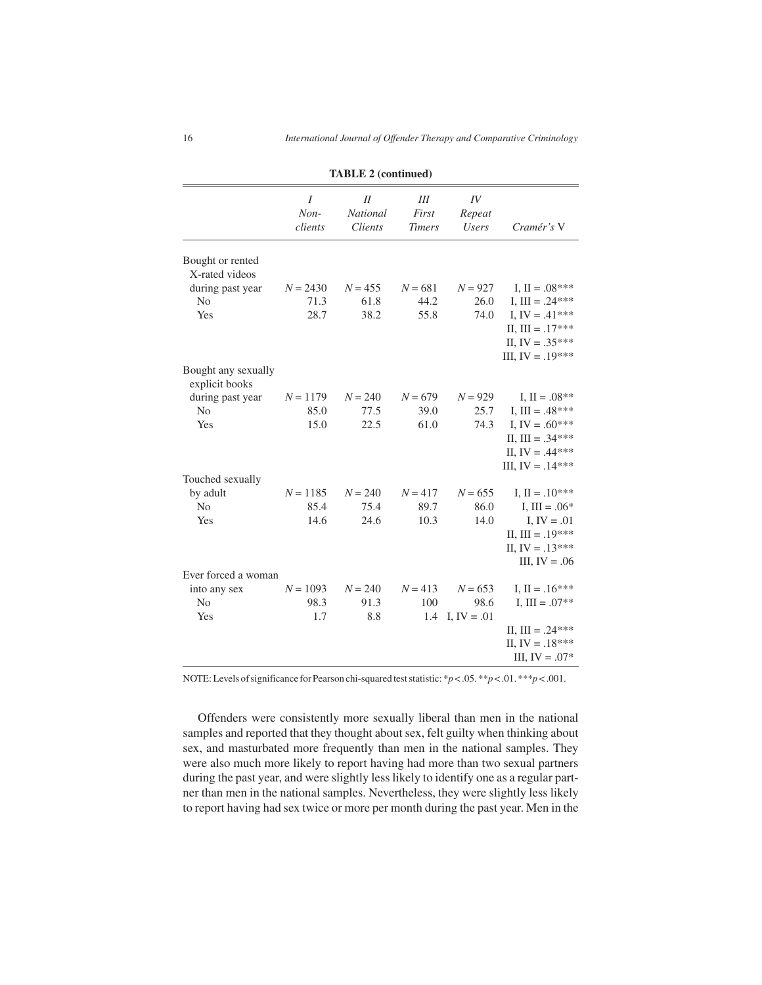|                                       | TABLE 2 (continued)    |                                         |                               |                              |                                                                                   |  |  |
|---------------------------------------|------------------------|-----------------------------------------|-------------------------------|------------------------------|-----------------------------------------------------------------------------------|--|--|
|                                       | I<br>$Non-$<br>clients | II<br><b>National</b><br><b>Clients</b> | III<br>First<br><b>Timers</b> | IV<br>Repeat<br><b>Users</b> | Cramér's V                                                                        |  |  |
| Bought or rented<br>X-rated videos    |                        |                                         |                               |                              |                                                                                   |  |  |
| during past year                      | $N = 2430$             | $N = 455$                               | $N = 681$                     | $N = 927$                    | I, $II = .08***$                                                                  |  |  |
| N <sub>o</sub>                        | 71.3                   | 61.8                                    | 44.2                          | 26.0                         | I, III = $.24***$                                                                 |  |  |
| Yes                                   | 28.7                   | 38.2                                    | 55.8                          | 74.0                         | I, IV = $.41***$<br>II, III = $.17***$<br>II, IV = $.35***$<br>III, IV = $.19***$ |  |  |
| Bought any sexually<br>explicit books |                        |                                         |                               |                              |                                                                                   |  |  |
| during past year                      | $N = 1179$             | $N = 240$                               | $N = 679$                     | $N = 929$                    | I, $II = .08**$                                                                   |  |  |
| N <sub>o</sub>                        | 85.0                   | 77.5                                    | 39.0                          | 25.7                         | I, III = $.48***$                                                                 |  |  |
| Yes                                   | 15.0                   | 22.5                                    | 61.0                          | 74.3                         | I, IV = $.60***$<br>II, III = $.34***$<br>II, IV = $.44***$<br>III, IV = $.14***$ |  |  |
| Touched sexually                      |                        |                                         |                               |                              |                                                                                   |  |  |
| by adult                              | $N = 1185$             | $N = 240$                               | $N = 417$                     | $N = 655$                    | I, $II = .10***$                                                                  |  |  |
| No                                    | 85.4                   | 75.4                                    | 89.7                          | 86.0                         | I, III = $.06*$                                                                   |  |  |
| Yes                                   | 14.6                   | 24.6                                    | 10.3                          | 14.0                         | I, $IV = .01$<br>II, III = $.19***$<br>II, IV = $.13***$<br>III, $IV = .06$       |  |  |
| Ever forced a woman                   |                        |                                         |                               |                              |                                                                                   |  |  |
| into any sex                          | $N = 1093$             | $N = 240$                               | $N = 413$                     | $N = 653$                    | I, $II = .16***$                                                                  |  |  |
| N <sub>o</sub>                        | 98.3                   | 91.3                                    | 100                           | 98.6                         | I, III = $.07**$                                                                  |  |  |
| Yes                                   | 1.7                    | 8.8                                     | 1.4                           | I, $IV = .01$                |                                                                                   |  |  |
|                                       |                        |                                         |                               |                              | II, III = $.24***$<br>II, IV = $.18***$<br>III, IV = $.07*$                       |  |  |

**TABLE 2 (continued)**

NOTE: Levels of significance for Pearson chi-squared test statistic: \**p* < .05. \*\**p* < .01. \*\*\**p* < .001.

Offenders were consistently more sexually liberal than men in the national samples and reported that they thought about sex, felt guilty when thinking about sex, and masturbated more frequently than men in the national samples. They were also much more likely to report having had more than two sexual partners during the past year, and were slightly less likely to identify one as a regular partner than men in the national samples. Nevertheless, they were slightly less likely to report having had sex twice or more per month during the past year. Men in the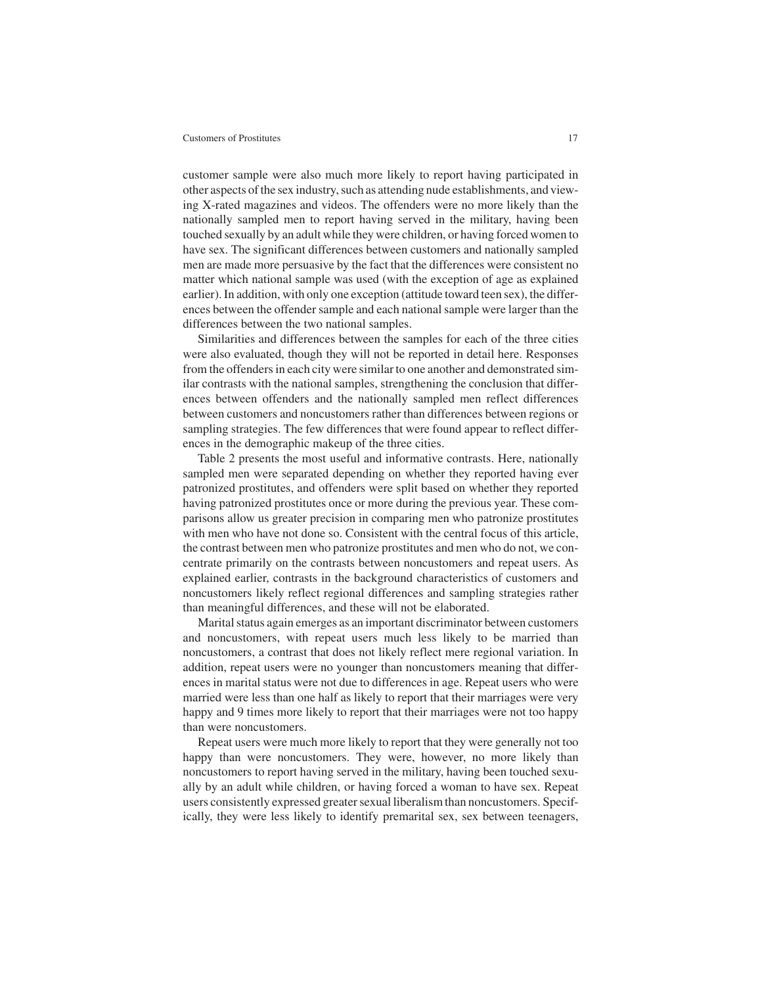customer sample were also much more likely to report having participated in other aspects of the sex industry, such as attending nude establishments, and viewing X-rated magazines and videos. The offenders were no more likely than the nationally sampled men to report having served in the military, having been touched sexually by an adult while they were children, or having forced women to have sex. The significant differences between customers and nationally sampled men are made more persuasive by the fact that the differences were consistent no matter which national sample was used (with the exception of age as explained earlier). In addition, with only one exception (attitude toward teen sex), the differences between the offender sample and each national sample were larger than the differences between the two national samples.

Similarities and differences between the samples for each of the three cities were also evaluated, though they will not be reported in detail here. Responses from the offenders in each city were similar to one another and demonstrated similar contrasts with the national samples, strengthening the conclusion that differences between offenders and the nationally sampled men reflect differences between customers and noncustomers rather than differences between regions or sampling strategies. The few differences that were found appear to reflect differences in the demographic makeup of the three cities.

Table 2 presents the most useful and informative contrasts. Here, nationally sampled men were separated depending on whether they reported having ever patronized prostitutes, and offenders were split based on whether they reported having patronized prostitutes once or more during the previous year. These comparisons allow us greater precision in comparing men who patronize prostitutes with men who have not done so. Consistent with the central focus of this article, the contrast between men who patronize prostitutes and men who do not, we concentrate primarily on the contrasts between noncustomers and repeat users. As explained earlier, contrasts in the background characteristics of customers and noncustomers likely reflect regional differences and sampling strategies rather than meaningful differences, and these will not be elaborated.

Marital status again emerges as an important discriminator between customers and noncustomers, with repeat users much less likely to be married than noncustomers, a contrast that does not likely reflect mere regional variation. In addition, repeat users were no younger than noncustomers meaning that differences in marital status were not due to differences in age. Repeat users who were married were less than one half as likely to report that their marriages were very happy and 9 times more likely to report that their marriages were not too happy than were noncustomers.

Repeat users were much more likely to report that they were generally not too happy than were noncustomers. They were, however, no more likely than noncustomers to report having served in the military, having been touched sexually by an adult while children, or having forced a woman to have sex. Repeat users consistently expressed greater sexual liberalism than noncustomers. Specifically, they were less likely to identify premarital sex, sex between teenagers,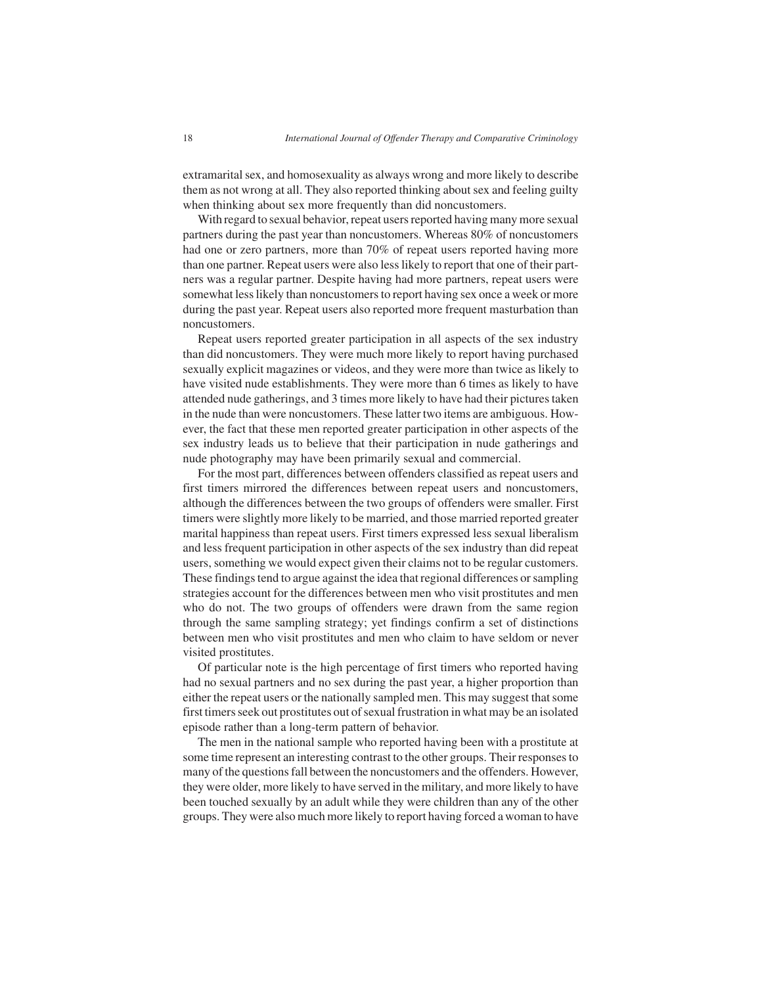extramarital sex, and homosexuality as always wrong and more likely to describe them as not wrong at all. They also reported thinking about sex and feeling guilty when thinking about sex more frequently than did noncustomers.

With regard to sexual behavior, repeat users reported having many more sexual partners during the past year than noncustomers. Whereas 80% of noncustomers had one or zero partners, more than 70% of repeat users reported having more than one partner. Repeat users were also less likely to report that one of their partners was a regular partner. Despite having had more partners, repeat users were somewhat less likely than noncustomers to report having sex once a week or more during the past year. Repeat users also reported more frequent masturbation than noncustomers.

Repeat users reported greater participation in all aspects of the sex industry than did noncustomers. They were much more likely to report having purchased sexually explicit magazines or videos, and they were more than twice as likely to have visited nude establishments. They were more than 6 times as likely to have attended nude gatherings, and 3 times more likely to have had their pictures taken in the nude than were noncustomers. These latter two items are ambiguous. However, the fact that these men reported greater participation in other aspects of the sex industry leads us to believe that their participation in nude gatherings and nude photography may have been primarily sexual and commercial.

For the most part, differences between offenders classified as repeat users and first timers mirrored the differences between repeat users and noncustomers, although the differences between the two groups of offenders were smaller. First timers were slightly more likely to be married, and those married reported greater marital happiness than repeat users. First timers expressed less sexual liberalism and less frequent participation in other aspects of the sex industry than did repeat users, something we would expect given their claims not to be regular customers. These findings tend to argue against the idea that regional differences or sampling strategies account for the differences between men who visit prostitutes and men who do not. The two groups of offenders were drawn from the same region through the same sampling strategy; yet findings confirm a set of distinctions between men who visit prostitutes and men who claim to have seldom or never visited prostitutes.

Of particular note is the high percentage of first timers who reported having had no sexual partners and no sex during the past year, a higher proportion than either the repeat users or the nationally sampled men. This may suggest that some first timers seek out prostitutes out of sexual frustration in what may be an isolated episode rather than a long-term pattern of behavior.

The men in the national sample who reported having been with a prostitute at some time represent an interesting contrast to the other groups. Their responses to many of the questions fall between the noncustomers and the offenders. However, they were older, more likely to have served in the military, and more likely to have been touched sexually by an adult while they were children than any of the other groups. They were also much more likely to report having forced a woman to have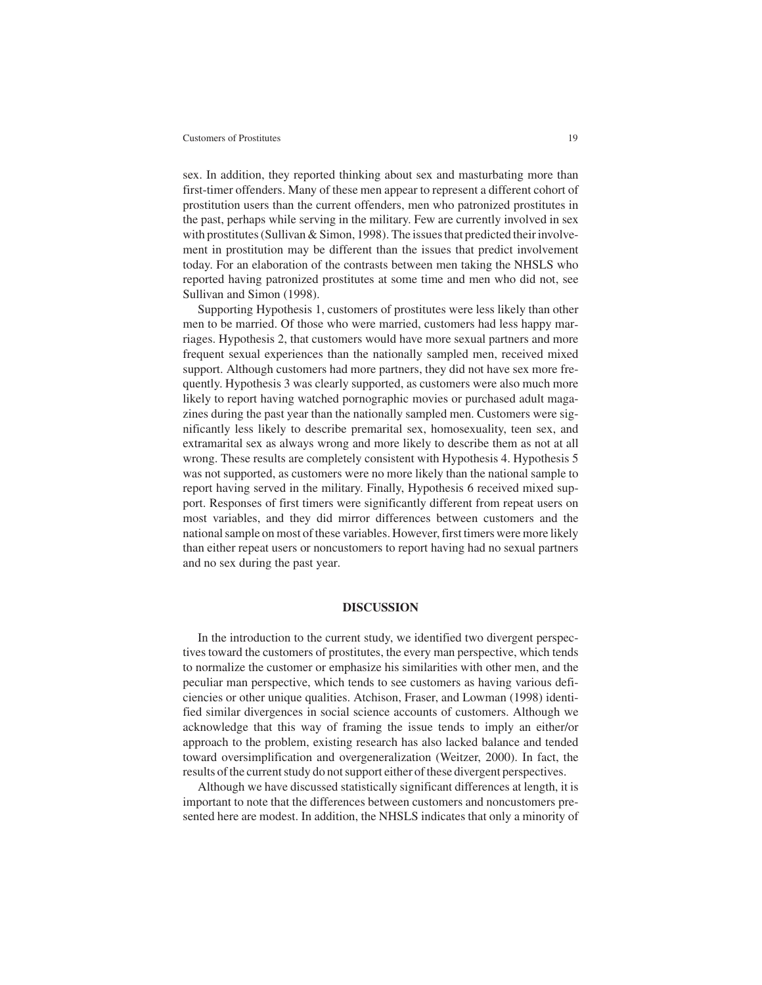sex. In addition, they reported thinking about sex and masturbating more than first-timer offenders. Many of these men appear to represent a different cohort of prostitution users than the current offenders, men who patronized prostitutes in the past, perhaps while serving in the military. Few are currently involved in sex with prostitutes (Sullivan & Simon, 1998). The issues that predicted their involvement in prostitution may be different than the issues that predict involvement today. For an elaboration of the contrasts between men taking the NHSLS who reported having patronized prostitutes at some time and men who did not, see Sullivan and Simon (1998).

Supporting Hypothesis 1, customers of prostitutes were less likely than other men to be married. Of those who were married, customers had less happy marriages. Hypothesis 2, that customers would have more sexual partners and more frequent sexual experiences than the nationally sampled men, received mixed support. Although customers had more partners, they did not have sex more frequently. Hypothesis 3 was clearly supported, as customers were also much more likely to report having watched pornographic movies or purchased adult magazines during the past year than the nationally sampled men. Customers were significantly less likely to describe premarital sex, homosexuality, teen sex, and extramarital sex as always wrong and more likely to describe them as not at all wrong. These results are completely consistent with Hypothesis 4. Hypothesis 5 was not supported, as customers were no more likely than the national sample to report having served in the military. Finally, Hypothesis 6 received mixed support. Responses of first timers were significantly different from repeat users on most variables, and they did mirror differences between customers and the national sample on most of these variables. However, first timers were more likely than either repeat users or noncustomers to report having had no sexual partners and no sex during the past year.

# **DISCUSSION**

In the introduction to the current study, we identified two divergent perspectives toward the customers of prostitutes, the every man perspective, which tends to normalize the customer or emphasize his similarities with other men, and the peculiar man perspective, which tends to see customers as having various deficiencies or other unique qualities. Atchison, Fraser, and Lowman (1998) identified similar divergences in social science accounts of customers. Although we acknowledge that this way of framing the issue tends to imply an either/or approach to the problem, existing research has also lacked balance and tended toward oversimplification and overgeneralization (Weitzer, 2000). In fact, the results of the current study do not support either of these divergent perspectives.

Although we have discussed statistically significant differences at length, it is important to note that the differences between customers and noncustomers presented here are modest. In addition, the NHSLS indicates that only a minority of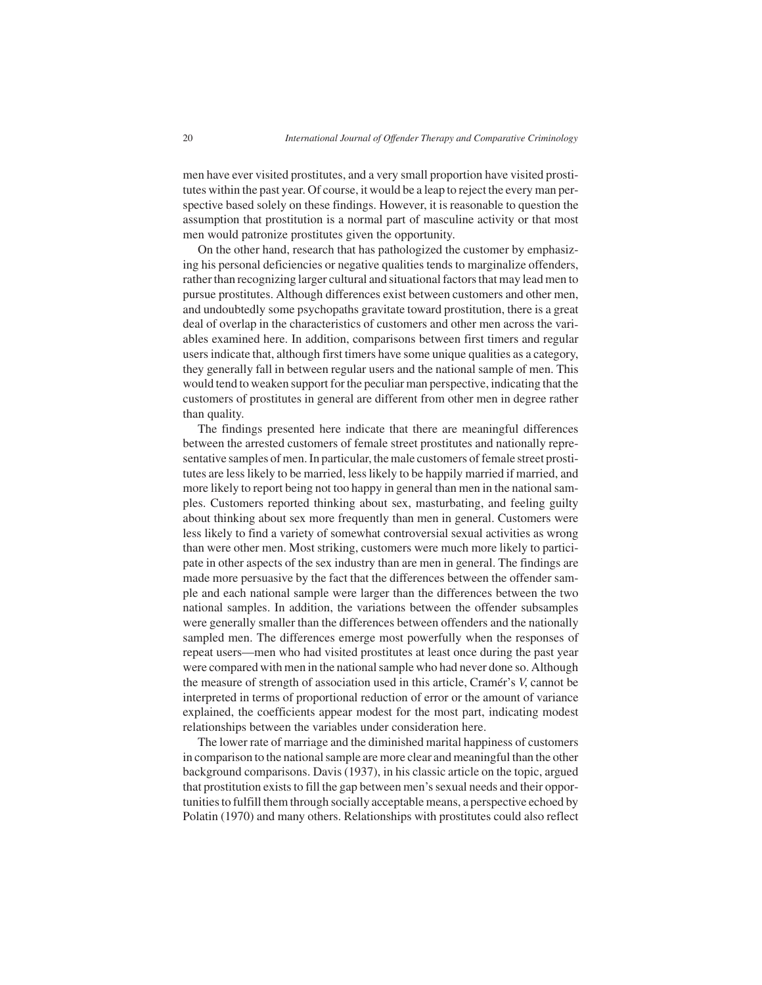men have ever visited prostitutes, and a very small proportion have visited prostitutes within the past year. Of course, it would be a leap to reject the every man perspective based solely on these findings. However, it is reasonable to question the assumption that prostitution is a normal part of masculine activity or that most men would patronize prostitutes given the opportunity.

On the other hand, research that has pathologized the customer by emphasizing his personal deficiencies or negative qualities tends to marginalize offenders, rather than recognizing larger cultural and situational factors that may lead men to pursue prostitutes. Although differences exist between customers and other men, and undoubtedly some psychopaths gravitate toward prostitution, there is a great deal of overlap in the characteristics of customers and other men across the variables examined here. In addition, comparisons between first timers and regular users indicate that, although first timers have some unique qualities as a category, they generally fall in between regular users and the national sample of men. This would tend to weaken support for the peculiar man perspective, indicating that the customers of prostitutes in general are different from other men in degree rather than quality.

The findings presented here indicate that there are meaningful differences between the arrested customers of female street prostitutes and nationally representative samples of men. In particular, the male customers of female street prostitutes are less likely to be married, less likely to be happily married if married, and more likely to report being not too happy in general than men in the national samples. Customers reported thinking about sex, masturbating, and feeling guilty about thinking about sex more frequently than men in general. Customers were less likely to find a variety of somewhat controversial sexual activities as wrong than were other men. Most striking, customers were much more likely to participate in other aspects of the sex industry than are men in general. The findings are made more persuasive by the fact that the differences between the offender sample and each national sample were larger than the differences between the two national samples. In addition, the variations between the offender subsamples were generally smaller than the differences between offenders and the nationally sampled men. The differences emerge most powerfully when the responses of repeat users—men who had visited prostitutes at least once during the past year were compared with men in the national sample who had never done so. Although the measure of strength of association used in this article, Cramér's *V*, cannot be interpreted in terms of proportional reduction of error or the amount of variance explained, the coefficients appear modest for the most part, indicating modest relationships between the variables under consideration here.

The lower rate of marriage and the diminished marital happiness of customers in comparison to the national sample are more clear and meaningful than the other background comparisons. Davis (1937), in his classic article on the topic, argued that prostitution exists to fill the gap between men's sexual needs and their opportunities to fulfill them through socially acceptable means, a perspective echoed by Polatin (1970) and many others. Relationships with prostitutes could also reflect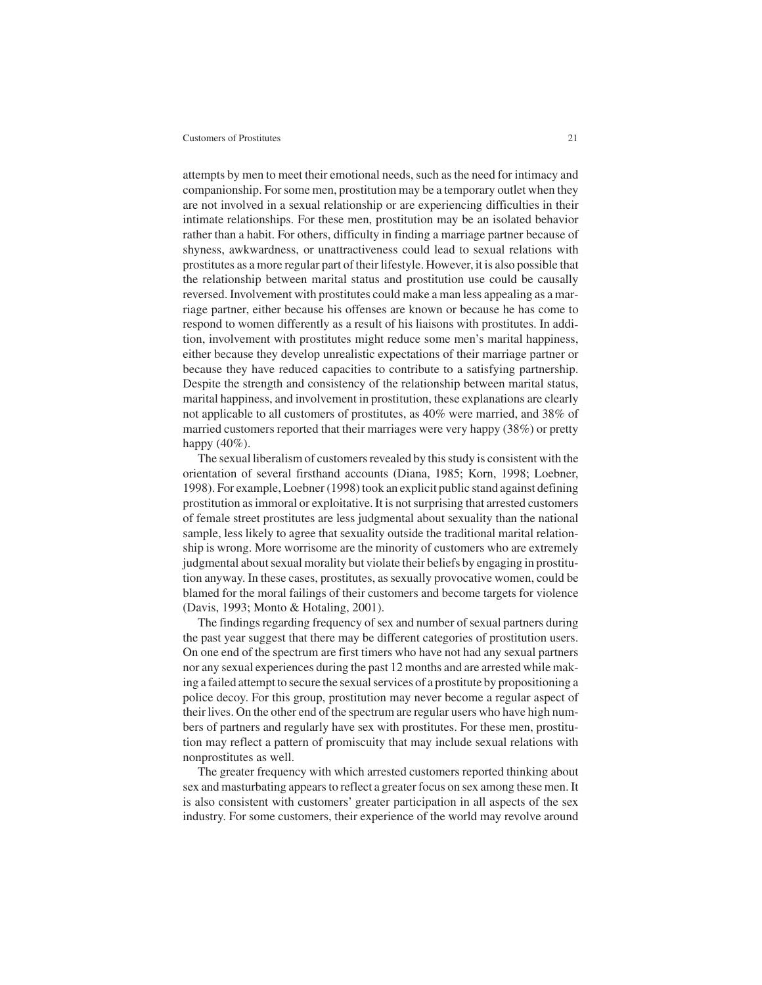attempts by men to meet their emotional needs, such as the need for intimacy and companionship. For some men, prostitution may be a temporary outlet when they are not involved in a sexual relationship or are experiencing difficulties in their intimate relationships. For these men, prostitution may be an isolated behavior rather than a habit. For others, difficulty in finding a marriage partner because of shyness, awkwardness, or unattractiveness could lead to sexual relations with prostitutes as a more regular part of their lifestyle. However, it is also possible that the relationship between marital status and prostitution use could be causally reversed. Involvement with prostitutes could make a man less appealing as a marriage partner, either because his offenses are known or because he has come to respond to women differently as a result of his liaisons with prostitutes. In addition, involvement with prostitutes might reduce some men's marital happiness, either because they develop unrealistic expectations of their marriage partner or because they have reduced capacities to contribute to a satisfying partnership. Despite the strength and consistency of the relationship between marital status, marital happiness, and involvement in prostitution, these explanations are clearly not applicable to all customers of prostitutes, as 40% were married, and 38% of married customers reported that their marriages were very happy (38%) or pretty happy  $(40\%)$ .

The sexual liberalism of customers revealed by this study is consistent with the orientation of several firsthand accounts (Diana, 1985; Korn, 1998; Loebner, 1998). For example, Loebner (1998) took an explicit public stand against defining prostitution as immoral or exploitative. It is not surprising that arrested customers of female street prostitutes are less judgmental about sexuality than the national sample, less likely to agree that sexuality outside the traditional marital relationship is wrong. More worrisome are the minority of customers who are extremely judgmental about sexual morality but violate their beliefs by engaging in prostitution anyway. In these cases, prostitutes, as sexually provocative women, could be blamed for the moral failings of their customers and become targets for violence (Davis, 1993; Monto & Hotaling, 2001).

The findings regarding frequency of sex and number of sexual partners during the past year suggest that there may be different categories of prostitution users. On one end of the spectrum are first timers who have not had any sexual partners nor any sexual experiences during the past 12 months and are arrested while making a failed attempt to secure the sexual services of a prostitute by propositioning a police decoy. For this group, prostitution may never become a regular aspect of their lives. On the other end of the spectrum are regular users who have high numbers of partners and regularly have sex with prostitutes. For these men, prostitution may reflect a pattern of promiscuity that may include sexual relations with nonprostitutes as well.

The greater frequency with which arrested customers reported thinking about sex and masturbating appears to reflect a greater focus on sex among these men. It is also consistent with customers' greater participation in all aspects of the sex industry. For some customers, their experience of the world may revolve around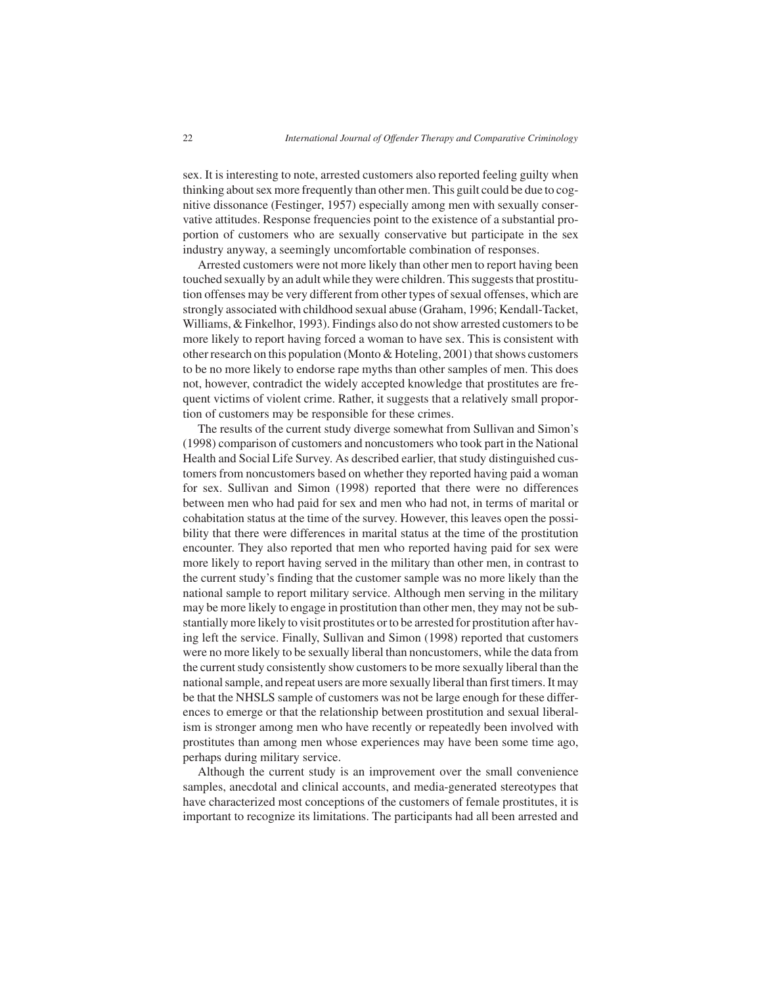sex. It is interesting to note, arrested customers also reported feeling guilty when thinking about sex more frequently than other men. This guilt could be due to cognitive dissonance (Festinger, 1957) especially among men with sexually conservative attitudes. Response frequencies point to the existence of a substantial proportion of customers who are sexually conservative but participate in the sex industry anyway, a seemingly uncomfortable combination of responses.

Arrested customers were not more likely than other men to report having been touched sexually by an adult while they were children. This suggests that prostitution offenses may be very different from other types of sexual offenses, which are strongly associated with childhood sexual abuse (Graham, 1996; Kendall-Tacket, Williams, & Finkelhor, 1993). Findings also do not show arrested customers to be more likely to report having forced a woman to have sex. This is consistent with other research on this population (Monto & Hoteling, 2001) that shows customers to be no more likely to endorse rape myths than other samples of men. This does not, however, contradict the widely accepted knowledge that prostitutes are frequent victims of violent crime. Rather, it suggests that a relatively small proportion of customers may be responsible for these crimes.

The results of the current study diverge somewhat from Sullivan and Simon's (1998) comparison of customers and noncustomers who took part in the National Health and Social Life Survey. As described earlier, that study distinguished customers from noncustomers based on whether they reported having paid a woman for sex. Sullivan and Simon (1998) reported that there were no differences between men who had paid for sex and men who had not, in terms of marital or cohabitation status at the time of the survey. However, this leaves open the possibility that there were differences in marital status at the time of the prostitution encounter. They also reported that men who reported having paid for sex were more likely to report having served in the military than other men, in contrast to the current study's finding that the customer sample was no more likely than the national sample to report military service. Although men serving in the military may be more likely to engage in prostitution than other men, they may not be substantially more likely to visit prostitutes or to be arrested for prostitution after having left the service. Finally, Sullivan and Simon (1998) reported that customers were no more likely to be sexually liberal than noncustomers, while the data from the current study consistently show customers to be more sexually liberal than the national sample, and repeat users are more sexually liberal than first timers. It may be that the NHSLS sample of customers was not be large enough for these differences to emerge or that the relationship between prostitution and sexual liberalism is stronger among men who have recently or repeatedly been involved with prostitutes than among men whose experiences may have been some time ago, perhaps during military service.

Although the current study is an improvement over the small convenience samples, anecdotal and clinical accounts, and media-generated stereotypes that have characterized most conceptions of the customers of female prostitutes, it is important to recognize its limitations. The participants had all been arrested and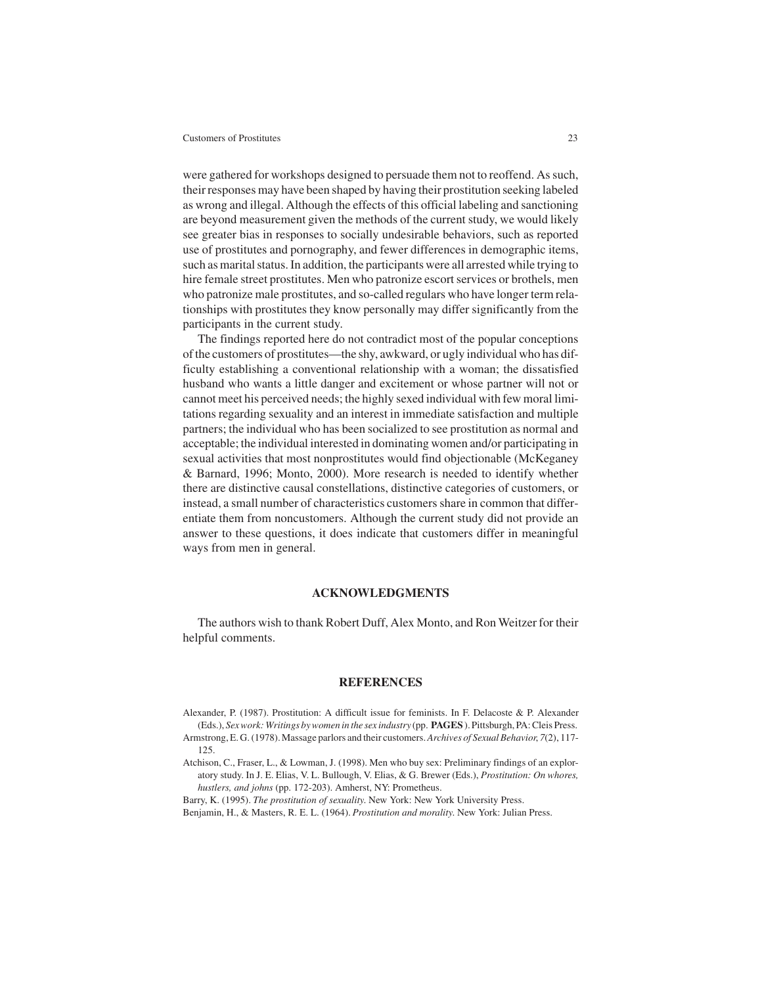were gathered for workshops designed to persuade them not to reoffend. As such, their responses may have been shaped by having their prostitution seeking labeled as wrong and illegal. Although the effects of this official labeling and sanctioning are beyond measurement given the methods of the current study, we would likely see greater bias in responses to socially undesirable behaviors, such as reported use of prostitutes and pornography, and fewer differences in demographic items, such as marital status. In addition, the participants were all arrested while trying to hire female street prostitutes. Men who patronize escort services or brothels, men who patronize male prostitutes, and so-called regulars who have longer term relationships with prostitutes they know personally may differ significantly from the participants in the current study.

The findings reported here do not contradict most of the popular conceptions of the customers of prostitutes—the shy, awkward, or ugly individual who has difficulty establishing a conventional relationship with a woman; the dissatisfied husband who wants a little danger and excitement or whose partner will not or cannot meet his perceived needs; the highly sexed individual with few moral limitations regarding sexuality and an interest in immediate satisfaction and multiple partners; the individual who has been socialized to see prostitution as normal and acceptable; the individual interested in dominating women and/or participating in sexual activities that most nonprostitutes would find objectionable (McKeganey & Barnard, 1996; Monto, 2000). More research is needed to identify whether there are distinctive causal constellations, distinctive categories of customers, or instead, a small number of characteristics customers share in common that differentiate them from noncustomers. Although the current study did not provide an answer to these questions, it does indicate that customers differ in meaningful ways from men in general.

# **ACKNOWLEDGMENTS**

The authors wish to thank Robert Duff, Alex Monto, and Ron Weitzer for their helpful comments.

# **REFERENCES**

- Alexander, P. (1987). Prostitution: A difficult issue for feminists. In F. Delacoste & P. Alexander (Eds.), *Sex work: Writings by women in the sex industry* (pp. **PAGES** ). Pittsburgh, PA: Cleis Press.
- Armstrong, E. G. (1978). Massage parlors and their customers. *Archives of Sexual Behavior*, *7*(2), 117- 125.
- Atchison, C., Fraser, L., & Lowman, J. (1998). Men who buy sex: Preliminary findings of an exploratory study. In J. E. Elias, V. L. Bullough, V. Elias, & G. Brewer (Eds.), *Prostitution: On whores, hustlers, and johns* (pp. 172-203). Amherst, NY: Prometheus.

Barry, K. (1995). *The prostitution of sexuality*. New York: New York University Press.

Benjamin, H., & Masters, R. E. L. (1964). *Prostitution and morality*. New York: Julian Press.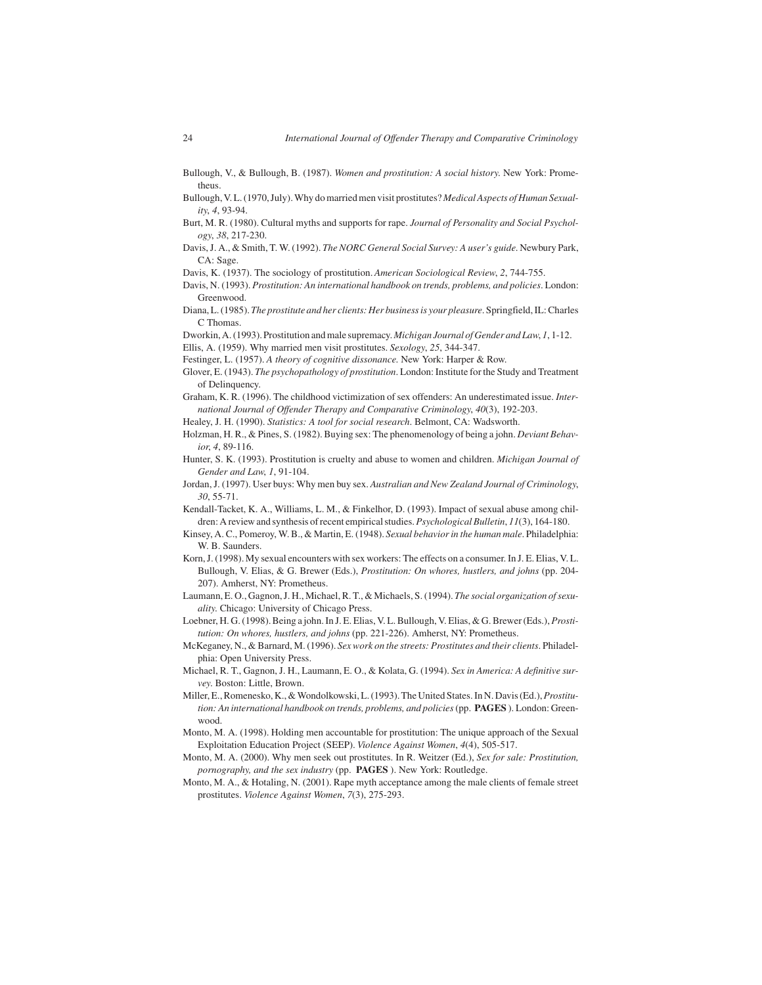- Bullough, V., & Bullough, B. (1987). *Women and prostitution: A social history*. New York: Prometheus.
- Bullough, V. L. (1970, July). Why do married men visit prostitutes?*Medical Aspects of Human Sexuality*, *4*, 93-94.
- Burt, M. R. (1980). Cultural myths and supports for rape. *Journal of Personality and Social Psychology*, *38*, 217-230.
- Davis, J. A., & Smith, T. W. (1992). *The NORC General Social Survey: A user's guide*. Newbury Park, CA: Sage.
- Davis, K. (1937). The sociology of prostitution. *American Sociological Review*, *2*, 744-755.
- Davis, N. (1993). *Prostitution: An international handbook on trends, problems, and policies*. London: Greenwood.
- Diana, L. (1985).*The prostitute and her clients: Her business is your pleasure*. Springfield, IL: Charles C Thomas.

Dworkin, A. (1993). Prostitution and male supremacy. *Michigan Journal of Gender and Law*, *1*, 1-12. Ellis, A. (1959). Why married men visit prostitutes. *Sexology*, *25*, 344-347.

- Festinger, L. (1957). *A theory of cognitive dissonance*. New York: Harper & Row.
- Glover, E. (1943). *The psychopathology of prostitution*. London: Institute for the Study and Treatment of Delinquency.
- Graham, K. R. (1996). The childhood victimization of sex offenders: An underestimated issue. *International Journal of Offender Therapy and Comparative Criminology*, *40*(3), 192-203.
- Healey, J. H. (1990). *Statistics: A tool for social research*. Belmont, CA: Wadsworth.

Holzman, H. R., & Pines, S. (1982). Buying sex: The phenomenology of being a john. *Deviant Behavior*, *4*, 89-116.

- Hunter, S. K. (1993). Prostitution is cruelty and abuse to women and children. *Michigan Journal of Gender and Law*, *1*, 91-104.
- Jordan, J. (1997). User buys: Why men buy sex. *Australian and New Zealand Journal of Criminology*, *30*, 55-71.
- Kendall-Tacket, K. A., Williams, L. M., & Finkelhor, D. (1993). Impact of sexual abuse among children: A review and synthesis of recent empirical studies.*Psychological Bulletin*, *11*(3), 164-180.
- Kinsey, A. C., Pomeroy, W. B., & Martin, E. (1948). *Sexual behavior in the human male*. Philadelphia: W. B. Saunders.
- Korn, J. (1998). My sexual encounters with sex workers: The effects on a consumer. In J. E. Elias, V. L. Bullough, V. Elias, & G. Brewer (Eds.), *Prostitution: On whores, hustlers, and johns* (pp. 204- 207). Amherst, NY: Prometheus.
- Laumann, E. O., Gagnon, J. H., Michael, R. T., & Michaels, S. (1994). *The social organization of sexuality*. Chicago: University of Chicago Press.
- Loebner, H. G. (1998). Being a john. In J. E. Elias, V. L. Bullough, V. Elias, & G. Brewer (Eds.),*Prostitution: On whores, hustlers, and johns* (pp. 221-226). Amherst, NY: Prometheus.
- McKeganey, N., & Barnard, M. (1996). *Sex work on the streets: Prostitutes and their clients*. Philadelphia: Open University Press.
- Michael, R. T., Gagnon, J. H., Laumann, E. O., & Kolata, G. (1994). *Sex in America: A definitive survey*. Boston: Little, Brown.
- Miller, E., Romenesko, K., & Wondolkowski, L. (1993). The United States. In N. Davis (Ed.),*Prostitution: An international handbook on trends, problems, and policies*(pp. **PAGES** ). London: Greenwood.
- Monto, M. A. (1998). Holding men accountable for prostitution: The unique approach of the Sexual Exploitation Education Project (SEEP). *Violence Against Women*, *4*(4), 505-517.
- Monto, M. A. (2000). Why men seek out prostitutes. In R. Weitzer (Ed.), *Sex for sale: Prostitution, pornography, and the sex industry* (pp. **PAGES** ). New York: Routledge.
- Monto, M. A., & Hotaling, N. (2001). Rape myth acceptance among the male clients of female street prostitutes. *Violence Against Women*, *7*(3), 275-293.